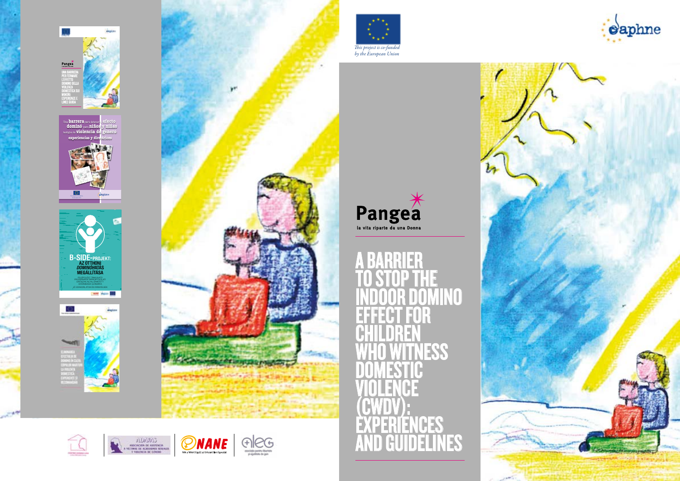







# A BARRIER TO STOP THE **INDOOR DOMINO<br>EFFECT FOR** EFFECT FOR **CHILDREN** ESS **DOMESTIC** VIOLENCE (CWDV): EXPERIENCES AND GUIDELINES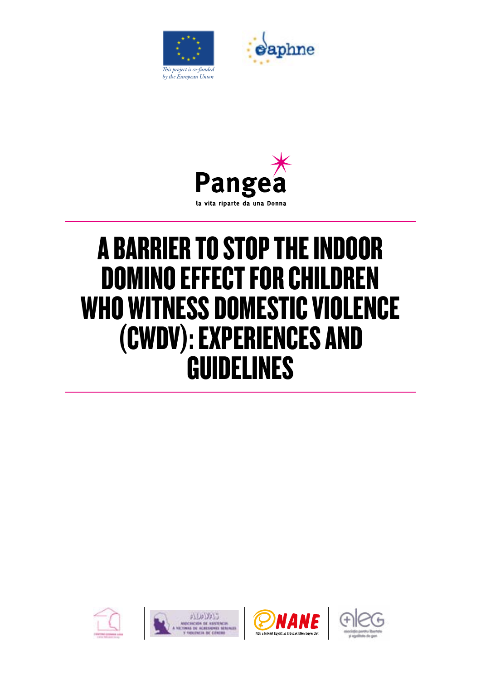





# A BARRIER TO STOP THE INDOOR DOMINO EFFECT FOR CHILDREN WHO WITNESS DOMESTIC VIOLENCE (CWDV): EXPERIENCES AND GUIDELINES







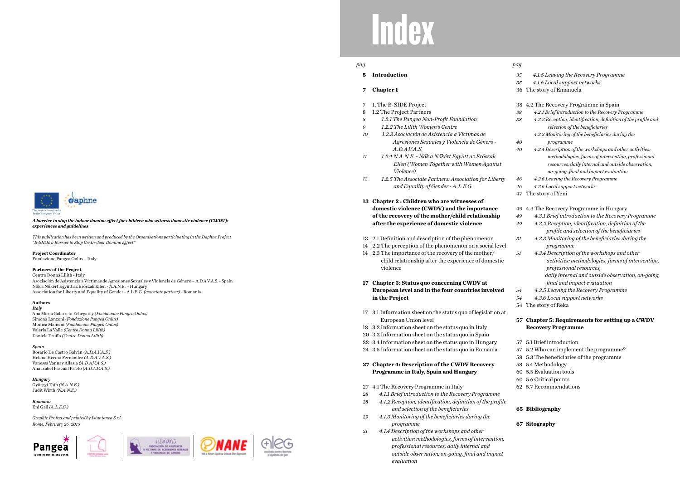*31*

# Index

- **5 Introduction**
- **7 Chapter 1**
- 7 1. The B-SIDE Project
- 8 1.2 The Project Partners
- *8 1.2.1 The Pangea Non-Profit Foundation*
- *9 1.2.2 The Lilith Women's Centre*
- *10 1.2.3 Asociación de Asistencia a Víctimas de Agresiones Sexuales y Violencia de Género - A.D.A.V.A.S.*
- *11 1.2.4 N.A.N.E. - Nők a Nőkért Együtt az Erőszak Ellen (Women Together with Women Against Violence)*
- *12 1.2.5 The Associate Partners: Association for Liberty and Equality of Gender - A.L.E.G.*
- **13 Chapter 2 : Children who are witnesses of domestic violence (CWDV) and the importance of the recovery of the mother/child relationship after the experience of domestic violence**
- 13 2.1 Definition and description of the phenomenon
- 14 2.2 The perception of the phenomenon on a social level
- 14 2.3 The importance of the recovery of the mother/ child relationship after the experience of domestic violence
- **17 Chapter 3: Status quo concerning CWDV at European level and in the four countries involved in the Project**
- 17 3.1 Information sheet on the status quo of legislation at European Union level
- 18 3.2 Information sheet on the status quo in Italy
- 20 3.3 Information sheet on the status quo in Spain
- 22 3.4 Information sheet on the status quo in Hungary
- 24 3.5 Information sheet on the status quo in Romania

### **27 Chapter 4: Description of the CWDV Recovery Programme in Italy, Spain and Hungary**

27 4.1 The Recovery Programme in Italy

- *28 4.1.1 Brief introduction to the Recovery Programme*
- *28 4.1.2 Reception, identification, definition of the profile and selection of the beneficiaries*
- *29 4.1.3 Monitoring of the beneficiaries during the programme* 
	- *4.1.4 Description of the workshops and other activities: methodologies, forms of intervention, professional resources, daily internal and outside observation, on-going, final and impact evaluation*

| 4.1.5 Leaving the Recovery Programme                                                             |
|--------------------------------------------------------------------------------------------------|
| 4.1.6 Local support networks                                                                     |
| The story of Emanuela                                                                            |
|                                                                                                  |
| 4.2 The Recovery Programme in Spain                                                              |
| 4.2.1 Brief introduction to the Recovery Programme                                               |
| 4.2.2 Reception, identification, definition of the profile and<br>selection of the beneficiaries |
| 4.2.3 Monitoring of the beneficiaries during the                                                 |
| programme                                                                                        |
| 4.2.4 Description of the workshops and other activities:                                         |
| methodologies, forms of intervention, professional                                               |
| resources, daily internal and outside observation,                                               |
| on-going, final and impact evaluation                                                            |
| 4.2.6 Leaving the Recovery Programme                                                             |
| 4.2.6 Local support networks                                                                     |
| The story of Yeni                                                                                |
|                                                                                                  |
| 4.3 The Recovery Programme in Hungary                                                            |
| 4.3.1 Brief introduction to the Recovery Programme                                               |
| 4.3.2 Reception, identification, definition of the                                               |
| profile and selection of the beneficiaries                                                       |
| 4.3.3 Monitoring of the beneficiaries during the                                                 |
| programme                                                                                        |
| 4.3.4 Description of the workshops and other                                                     |
| activities: methodologies, forms of intervention,                                                |
| professional resources,                                                                          |
| daily internal and outside observation, on-going,                                                |
| final and impact evaluation                                                                      |
| 4.3.5 Leaving the Recovery Programme                                                             |
| 4.3.6 Local support networks                                                                     |
| The story of Reka                                                                                |
|                                                                                                  |
| 57 Chapter 5: Requirements for setting up a CWDV                                                 |
| <b>Recovery Programme</b>                                                                        |
| 5.1 Brief introduction<br>57                                                                     |
| 57 5.2 Who can implement the programme?                                                          |
| 58 5.3 The beneficiaries of the programme                                                        |
| 58 5.4 Methodology                                                                               |
| 60 5.5 Evaluation tools                                                                          |
| 60 5.6 Critical points                                                                           |
| 62 5.7 Recommendations                                                                           |
|                                                                                                  |

### **65 Bibliography**

### **67 Sitography**

### *pag. pag.*

### *A barrier to stop the indoor domino effect for children who witness domestic violence (CWDV): experiences and guidelines*

*This publication has been written and produced by the Organisations participating in the Daphne Project "B-SIDE: a Barrier to Stop the In-door Domino Effect"*

**Project Coordinator** Fondazione Pangea Onlus – Italy

### **Partners of the Project**

Centro Donna Lilith - Italy

Asociación de Asistencia a Víctimas de Agresiones Sexuales y Violencia de Género – A.D.A.V.A.S. - Spain Nők a Nőkért Együtt az Erőszak Ellen - N.A.N.E. - Hungary Association for Liberty and Equality of Gender - A.L.E.G. *(associate partner) -* Romania

### **Authors**

*Italy* Ana Maria Galarreta Echegaray *(Fondazione Pangea Onlus)* Simona Lanzoni *(Fondazione Pangea Onlus)* Monica Mancini *(Fondazione Pangea Onlus)*

Valeria La Valle *(Centro Donna Lilith)* Daniela Truffo *(Centro Donna Lilith)*

*Spain* Rosario De Castro Galvàn *(A.D.A.V.A.S.)* Helena Hermo Fernàndez *(A.D.A.V.A.S.)* Vanessa Vannay Allasia *(A.D.A.V.A.S.)* Ana Isabel Pascual Prieto *(A.D.A.V.A.S.)*

*Hungary* Györgyi Tóth *(N.A.N.E.)* Judit Wirth *(N.A.N.E.)*

*Romania* Eni Gall *(A.L.E.G.)*

*Graphic Project and printed by Istantanea S.r.l. Rome, February 26, 2015*













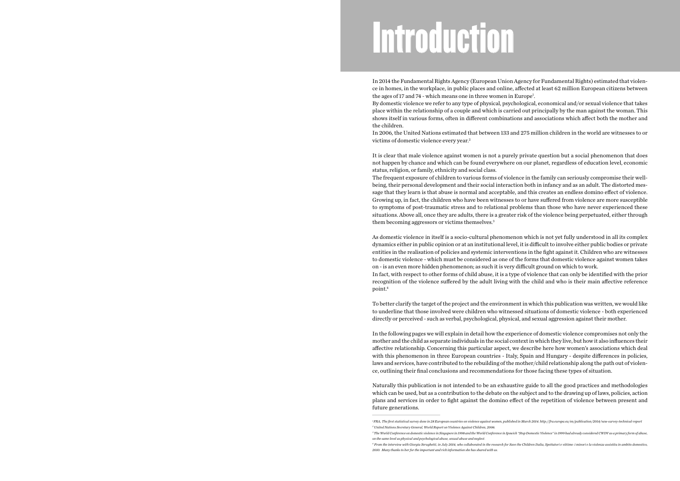In 2014 the Fundamental Rights Agency (European Union Agency for Fundamental Rights) estimated that violence in homes, in the workplace, in public places and online, affected at least 62 million European citizens between the ages of 17 and 74 - which means one in three women in Europe<sup>1</sup>. By domestic violence we refer to any type of physical, psychological, economical and/or sexual violence that takes place within the relationship of a couple and which is carried out principally by the man against the woman. This shows itself in various forms, often in different combinations and associations which affect both the mother and the children.

It is clear that male violence against women is not a purely private question but a social phenomenon that does not happen by chance and which can be found everywhere on our planet, regardless of education level, economic status, religion, or family, ethnicity and social class. The frequent exposure of children to various forms of violence in the family can seriously compromise their wellbeing, their personal development and their social interaction both in infancy and as an adult. The distorted message that they learn is that abuse is normal and acceptable, and this creates an endless domino effect of violence. Growing up, in fact, the children who have been witnesses to or have suffered from violence are more susceptible to symptoms of post-traumatic stress and to relational problems than those who have never experienced these situations. Above all, once they are adults, there is a greater risk of the violence being perpetuated, either through them becoming aggressors or victims themselves.<sup>3</sup>

In 2006, the United Nations estimated that between 133 and 275 million children in the world are witnesses to or victims of domestic violence every year.2

As domestic violence in itself is a socio-cultural phenomenon which is not yet fully understood in all its complex dynamics either in public opinion or at an institutional level, it is difficult to involve either public bodies or private entities in the realisation of policies and systemic interventions in the fight against it. Children who are witnesses to domestic violence - which must be considered as one of the forms that domestic violence against women takes on - is an even more hidden phenomenon; as such it is very difficult ground on which to work. In fact, with respect to other forms of child abuse, it is a type of violence that can only be identified with the prior recognition of the violence suffered by the adult living with the child and who is their main affective reference point.4

To better clarify the target of the project and the environment in which this publication was written, we would like to underline that those involved were children who witnessed situations of domestic violence - both experienced directly or perceived - such as verbal, psychological, physical, and sexual aggression against their mother.

In the following pages we will explain in detail how the experience of domestic violence compromises not only the mother and the child as separate individuals in the social context in which they live, but how it also influences their affective relationship. Concerning this particular aspect, we describe here how women's associations which deal with this phenomenon in three European countries - Italy, Spain and Hungary - despite differences in policies, laws and services, have contributed to the rebuilding of the mother/child relationship along the path out of violence, outlining their final conclusions and recommendations for those facing these types of situation.

Naturally this publication is not intended to be an exhaustive guide to all the good practices and methodologies which can be used, but as a contribution to the debate on the subject and to the drawing up of laws, policies, action plans and services in order to fight against the domino effect of the repetition of violence between present and future generations.

# Introduction

*<sup>1</sup> FRA, The first statistical survey done in 28 European countries on violence against women, published in March 2014. http://fra.europa.eu/en/publication/2014/vaw-survey-technical-report 2 United Nations Secretary General, World Report on Violence Against Children, 2006.*

*<sup>3</sup> The World Conference on domestic violence in Singapore in 1998 and the World Conference in Ipswich "Stop Domestic Violence" in 1999 had already considered CWDV as a primary form of abuse,* 

*on the same level as physical and psychological abuse, sexual abuse and neglect. 4 From the interview with Giorgia Serughetti, in July 2014, who collaborated in the research for Save the Children Italia, Spettatori e vittime: i minori e la violenza assistita in ambito domestico,* 

*<sup>2010.</sup> Many thanks to her for the important and rich information she has shared with us.*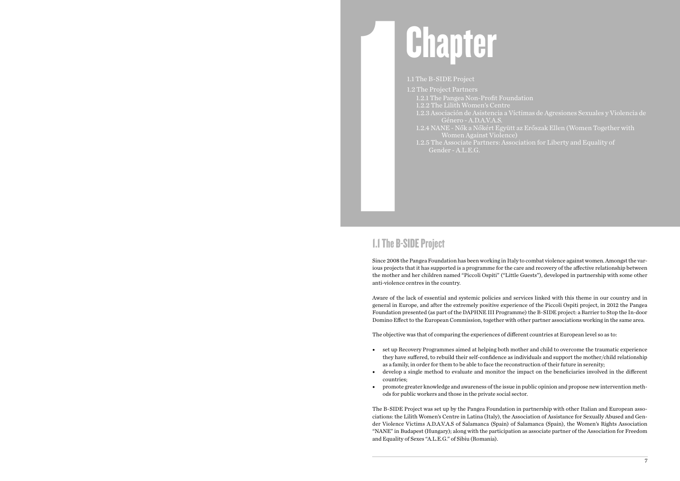# 1.<br>
1.<br>
1.<br>
1.<br>
1.<br>
1.<br>
Since 2008 the l<br>
Since 2008 the l Chapter

### 1.1 The B-SIDE Project

1.2 The Project Partners 1.2.1 The Pangea Non-Profit Foundation 1.2.2 The Lilith Women's Centre 1.2.3 Asociación de Asistencia a Víctimas de Agresiones Sexuales y Violencia de Género - A.D.A.V.A.S. 1.2.4 NANE - Nők a Nőkért Együtt az Erőszak Ellen (Women Together with Women Against Violence) 1.2.5 The Associate Partners: Association for Liberty and Equality of Gender - A.L.E.G.

## 1.1 The B-SIDE Project

Since 2008 the Pangea Foundation has been working in Italy to combat violence against women. Amongst the various projects that it has supported is a programme for the care and recovery of the affective relationship between the mother and her children named "Piccoli Ospiti" ("Little Guests"), developed in partnership with some other anti-violence centres in the country.

Aware of the lack of essential and systemic policies and services linked with this theme in our country and in general in Europe, and after the extremely positive experience of the Piccoli Ospiti project, in 2012 the Pangea Foundation presented (as part of the DAPHNE III Programme) the B-SIDE project: a Barrier to Stop the In-door Domino Effect to the European Commission, together with other partner associations working in the same area.

The objective was that of comparing the experiences of different countries at European level so as to:

they have suffered, to rebuild their self-confidence as individuals and support the mother/child relationship

- set up Recovery Programmes aimed at helping both mother and child to overcome the traumatic experience as a family, in order for them to be able to face the reconstruction of their future in serenity;
- countries;
- promote greater knowledge and awareness of the issue in public opinion and propose new intervention methods for public workers and those in the private social sector.

• develop a single method to evaluate and monitor the impact on the beneficiaries involved in the different

The B-SIDE Project was set up by the Pangea Foundation in partnership with other Italian and European associations: the Lilith Women's Centre in Latina (Italy), the Association of Assistance for Sexually Abused and Gender Violence Victims A.D.A.V.A.S of Salamanca (Spain) of Salamanca (Spain), the Women's Rights Association "NANE" in Budapest (Hungary); along with the participation as associate partner of the Association for Freedom and Equality of Sexes "A.L.E.G." of Sibiu (Romania).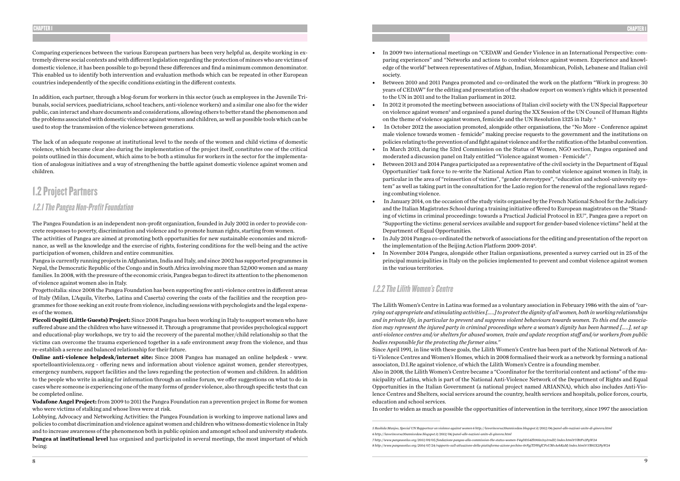Comparing experiences between the various European partners has been very helpful as, despite working in extremely diverse social contexts and with different legislation regarding the protection of minors who are victims of domestic violence, it has been possible to go beyond these differences and find a minimum common denominator. This enabled us to identify both intervention and evaluation methods which can be repeated in other European countries independently of the specific conditions existing in the different contexts.

In addition, each partner, through a blog-forum for workers in this sector (such as employees in the Juvenile Tribunals, social services, paediatricians, school teachers, anti-violence workers) and a similar one also for the wider public, can interact and share documents and considerations, allowing others to better stand the phenomenon and the problems associated with domestic violence against women and children, as well as possible tools which can be used to stop the transmission of the violence between generations.

The lack of an adequate response at institutional level to the needs of the women and child victims of domestic violence, which became clear also during the implementation of the project itself, constitutes one of the critical points outlined in this document, which aims to be both a stimulus for workers in the sector for the implementation of analogous initiatives and a way of strengthening the battle against domestic violence against women and children.

# 1.2 Project Partners

### 1.2.1 The Pangea Non-Profit Foundation

The Pangea Foundation is an independent non-profit organization, founded in July 2002 in order to provide concrete responses to poverty, discrimination and violence and to promote human rights, starting from women.

The activities of Pangea are aimed at promoting both opportunities for new sustainable economies and microfinance, as well as the knowledge and the exercise of rights, fostering conditions for the well-being and the active participation of women, children and entire communities.

Pangea is currently running projects in Afghanistan, India and Italy, and since 2002 has supported programmes in Nepal, the Democratic Republic of the Congo and in South Africa involving more than 52,000 women and as many families. In 2008, with the pressure of the economic crisis, Pangea began to direct its attention to the phenomenon of violence against women also in Italy.

Progettoitalia: since 2008 the Pangea Foundation has been supporting five anti-violence centres in different areas of Italy (Milan, L'Aquila, Viterbo, Latina and Caserta) covering the costs of the facilities and the reception programmes for those seeking an exit route from violence, including sessions with psychologists and the legal expenses of the women.

**Piccoli Ospiti (Little Guests) Project:** Since 2008 Pangea has been working in Italy to support women who have suffered abuse and the children who have witnessed it. Through a programme that provides psychological support and educational-play workshops, we try to aid the recovery of the parental mother/child relationship so that the victims can overcome the trauma experienced together in a safe environment away from the violence, and thus re-establish a serene and balanced relationship for their future.

**Online anti-violence helpdesk/internet site:** Since 2008 Pangea has managed an online helpdesk - www. sportelloantiviolenza.org - offering news and information about violence against women, gender stereotypes, emergency numbers, support facilities and the laws regarding the protection of women and children. In addition to the people who write in asking for information through an online forum, we offer suggestions on what to do in cases where someone is experiencing one of the many forms of gender violence, also through specific tests that can be completed online.

**Vodafone Angel Project:** from 2009 to 2011 the Pangea Foundation ran a prevention project in Rome for women who were victims of stalking and whose lives were at risk.

Lobbying, Advocacy and Networking Activities: the Pangea Foundation is working to improve national laws and policies to combat discrimination and violence against women and children who witness domestic violence in Italy and to increase awareness of the phenomenon both in public opinion and amongst school and university students. **Pangea at institutional level** has organised and participated in several meetings, the most important of which being:

paring experiences" and "Networks and actions to combat violence against women. Experience and knowledge of the world" between representatives of Afghan, Indian, Mozambican, Polish, Lebanese and Italian civil

years of CEDAW" for the editing and presentation of the shadow report on women's rights which it presented

on violence against women<sup>5</sup> and organised a panel during the XX Session of the UN Council of Human Rights Í

• In October 2012 the association promoted, alongside other organisations, the "No More - Conference against male violence towards women - femicide" making precise requests to the government and the institutions on policies relating to the prevention of and fight against violence and for the ratification of the Istanbul convention. • In March 2013, during the 53rd Commission on the Status of Women, NGO section, Pangea organised and

- In 2009 two international meetings on "CEDAW and Gender Violence in an International Perspective: comsociety.
- Between 2010 and 2011 Pangea promoted and co-ordinated the work on the platform "Work in progress: 30 to the UN in 2011 and to the Italian parliament in 2012.
- In 2012 it promoted the meeting between associations of Italian civil society with the UN Special Rapporteur on the theme of violence against women, femicide and the UN Resolution 1325 in Italy. 6
- 
- moderated a discussion panel on Italy entitled "Violence against women Femicide".7
- Between 2013 and 2014 Pangea participated as a representative of the civil society in the Department of Equal ing combating violence.
- Department of Equal Opportunities.
- In July 2014 Pangea co-ordinated the network of associations for the editing and presentation of the report on the implementation of the Beijing Action Platform 2009-20148 .
- In November 2014 Pangea, alongside other Italian organisations, presented a survey carried out in 25 of the in the various territories.

Opportunities' task force to re-write the National Action Plan to combat violence against women in Italy, in particular in the area of "reinsertion of victims", "gender stereotypes", "education and school-university system" as well as taking part in the consultation for the Lazio region for the renewal of the regional laws regard-

• In January 2014, on the occasion of the study visits organised by the French National School for the Judiciary and the Italian Magistrates School during a training initiative offered to European magistrates on the "Standing of victims in criminal proceedings: towards a Practical Judicial Protocol in EU", Pangea gave a report on "Supporting the victims: general services available and support for gender-based violence victims" held at the

principal municipalities in Italy on the policies implemented to prevent and combat violence against women

### 1.2.2 The Lilith Women's Centre

The Lilith Women's Centre in Latina was formed as a voluntary association in February 1986 with the aim of *"carrying out appropriate and stimulating activities […..] to protect the dignity of all women, both in working relationships and in private life, in particular to prevent and suppress violent behaviours towards women. To this end the association may represent the injured party in criminal proceedings where a woman's dignity has been harmed […..], set up anti-violence centres and/or shelters for abused women, train and update reception staff and/or workers from public bodies responsible for the protecting the former aims."* Since April 1991, in line with these goals, the Lilith Women's Centre has been part of the National Network of Anti-Violence Centres and Women's Homes, which in 2008 formalised their work as a network by forming a national associaton, D.I.Re against violence, of which the Lilith Women's Centre is a founding member. Also in 2008, the Lilith Women's Centre became a "Coordinator for the territorial content and actions" of the municipality of Latina, which is part of the National Anti-Violence Network of the Department of Rights and Equal Opportunities in the Italian Government (a national project named ARIANNA), which also includes Anti-Violence Centres and Shelters, social services around the country, health services and hospitals, police forces, courts,

education and school services.

In order to widen as much as possible the opportunities of intervention in the territory, since 1997 the association

*<sup>5</sup> Rashida Manjoo, Special UN Rapporteur on violence against women 6 http://lavorincorsa30annicedaw.blogspot.it/2012/06/panel-alle-nazioni-unite-di-ginevra.html 6 http://lavorincorsa30annicedaw.blogspot.it/2012/06/panel-alle-nazioni-unite-di-ginevra.html 7 http://www.pangeaonlus.org/2013/09/05/fondazione-pangea-alla-commission-the-status-women-Y4qDD54Zh90in3sy1rndII/index.html#.VBtFv2PgW24 8 http://www.pangeaonlus.org/2014/07/24/rapporto-sull-attuazione-della-piattaforma-azione-pechino-0rFgjTDWqfCFoUMvAebKaM/index.html#.VBtGX2PgW24*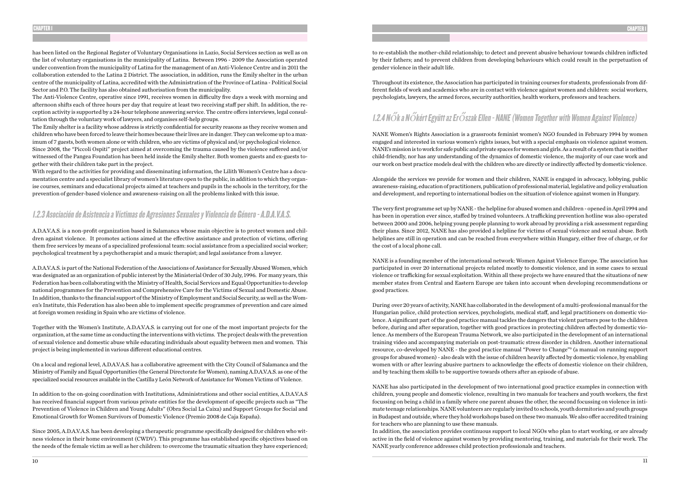has been listed on the Regional Register of Voluntary Organisations in Lazio, Social Services section as well as on the list of voluntary organisations in the municipality of Latina. Between 1996 - 2009 the Association operated under convention from the municipality of Latina for the management of an Anti-Violence Centre and in 2011 the collaboration extended to the Latina 2 District. The association, in addition, runs the Emily shelter in the urban centre of the municipality of Latina, accredited with the Administration of the Province of Latina - Political Social Sector and P.O. The facility has also obtained authorisation from the municipality.

The Anti-Violence Centre, operative since 1991, receives women in difficulty five days a week with morning and afternoon shifts each of three hours per day that require at least two receiving staff per shift. In addition, the reception activity is supported by a 24-hour telephone answering service. The centre offers interviews, legal consultation through the voluntary work of lawyers, and organises self-help groups.

The Emily shelter is a facility whose address is strictly confidential for security reasons as they receive women and children who have been forced to leave their homes because their lives are in danger. They can welcome up to a maximum of 7 guests, both women alone or with children, who are victims of physical and/or psychological violence. Since 2008, the "Piccoli Ospiti" project aimed at overcoming the trauma caused by the violence suffered and/or witnessed of the Pangea Foundation has been held inside the Emily shelter. Both women guests and ex-guests together with their children take part in the project.

With regard to the activities for providing and disseminating information, the Lilith Women's Centre has a documentation centre and a specialist library of women's literature open to the public, in addition to which they organise courses, seminars and educational projects aimed at teachers and pupils in the schools in the territory, for the prevention of gender-based violence and awareness-raising on all the problems linked with this issue.

### 1.2.3 Asociación de Asistencia a Víctimas de Agresiones Sexuales y Violencia de Género - A.D.A.V.A.S.

A.D.A.V.A.S. is a non-profit organization based in Salamanca whose main objective is to protect women and children against violence. It promotes actions aimed at the effective assistance and protection of victims, offering them free services by means of a specialized professional team: social assistance from a specialized social worker; psychological treatment by a psychotherapist and a music therapist; and legal assistance from a lawyer.

A.D.A.V.A.S. is part of the National Federation of the Associations of Assistance for Sexually Abused Women, which was designated as an organization of public interest by the Ministerial Order of 30 July, 1996. For many years, this Federation has been collaborating with the Ministry of Health, Social Services and Equal Opportunities to develop national programmes for the Prevention and Comprehensive Care for the Victims of Sexual and Domestic Abuse. In addition, thanks to the financial support of the Ministry of Employment and Social Security, as well as the Women's Institute, this Federation has also been able to implement specific programmes of prevention and care aimed at foreign women residing in Spain who are victims of violence.

Together with the Women's Institute, A.D.A.V.A.S. is carrying out for one of the most important projects for the organization, at the same time as conducting the interventions with victims. The project deals with the prevention of sexual violence and domestic abuse while educating individuals about equality between men and women. This project is being implemented in various different educational centres.

On a local and regional level, A.D.A.V.A.S. has a collaborative agreement with the City Council of Salamanca and the Ministry of Family and Equal Opportunities (the General Directorate for Women), naming A.D.A.V.A.S. as one of the specialized social resources available in the Castilla y León Network of Assistance for Women Victims of Violence.

In addition to the on-going coordination with Institutions, Administrations and other social entities, A.D.A.V.A.S has received financial support from various private entities for the development of specific projects such as "The Prevention of Violence in Children and Young Adults" (Obra Social La Caixa) and Support Groups for Social and Emotional Growth for Women Survivors of Domestic Violence (Premio 2008 de Caja España).

Since 2005, A.D.A.V.A.S. has been developing a therapeutic programme specifically designed for children who witness violence in their home environment (CWDV). This programme has established specific objectives based on the needs of the female victim as well as her children: to overcome the traumatic situation they have experienced;

to re-establish the mother-child relationship; to detect and prevent abusive behaviour towards children inflicted by their fathers; and to prevent children from developing behaviours which could result in the perpetuation of gender violence in their adult life.

Throughout its existence, the Association has participated in training courses for students, professionals from different fields of work and academics who are in contact with violence against women and children: social workers, psychologists, lawyers, the armed forces, security authorities, health workers, professors and teachers.

# 1.2.4 Nők a Nőkért Együtt az Erőszak Ellen - NANE (Women Together with Women Against Violence)

NANE Women's Rights Association is a grassroots feminist women's NGO founded in February 1994 by women engaged and interested in various women's rights issues, but with a special emphasis on violence against women. NANE's mission is to work for safe public and private spaces for women and girls. As a result of a system that is neither child-friendly, nor has any understanding of the dynamics of domestic violence, the majority of our case work and our work on best practice models deal with the children who are directly or indirectly affected by domestic violence.

Alongside the services we provide for women and their children, NANE is engaged in advocacy, lobbying, public awareness-raising, education of practitioners, publication of professional material, legislative and policy evaluation and development, and reporting to international bodies on the situation of violence against women in Hungary.

The very first programme set up by NANE - the helpline for abused women and children - opened in April 1994 and has been in operation ever since, staffed by trained volunteers. A trafficking prevention hotline was also operated between 2000 and 2006, helping young people planning to work abroad by providing a risk assessment regarding their plans. Since 2012, NANE has also provided a helpline for victims of sexual violence and sexual abuse. Both helplines are still in operation and can be reached from everywhere within Hungary, either free of charge, or for the cost of a local phone call.

NANE is a founding member of the international network: Women Against Violence Europe. The association has participated in over 20 international projects related mostly to domestic violence, and in some cases to sexual violence or trafficking for sexual exploitation. Within all these projects we have ensured that the situations of new member states from Central and Eastern Europe are taken into account when developing recommendations or good practices.

During over 20 years of activity, NANE has collaborated in the development of a multi-professional manual for the Hungarian police, child protection services, psychologists, medical staff, and legal practitioners on domestic violence. A significant part of the good practice manual tackles the dangers that violent partners pose to the children before, during and after separation, together with good practices in protecting children affected by domestic violence. As members of the European Trauma Network, we also participated in the development of an international training video and accompanying materials on post-traumatic stress disorder in children. Another international resource, co-developed by NANE - the good practice manual "Power to Change"9 (a manual on running support groups for abused women) - also deals with the issue of children heavily affected by domestic violence, by enabling women with or after leaving abusive partners to acknowledge the effects of domestic violence on their children, and by teaching them skills to be supportive towards others after an episode of abuse.

NANE has also participated in the development of two international good practice examples in connection with children, young people and domestic violence, resulting in two manuals for teachers and youth workers, the first focussing on being a child in a family where one parent abuses the other, the second focussing on violence in intimate teenage relationships. NANE volunteers are regularly invited to schools, youth dormitories and youth groups in Budapest and outside, where they hold workshops based on these two manuals. We also offer accredited training for teachers who are planning to use these manuals. In addition, the association provides continuous support to local NGOs who plan to start working, or are already active in the field of violence against women by providing mentoring, training, and materials for their work. The NANE yearly conference addresses child protection professionals and teachers.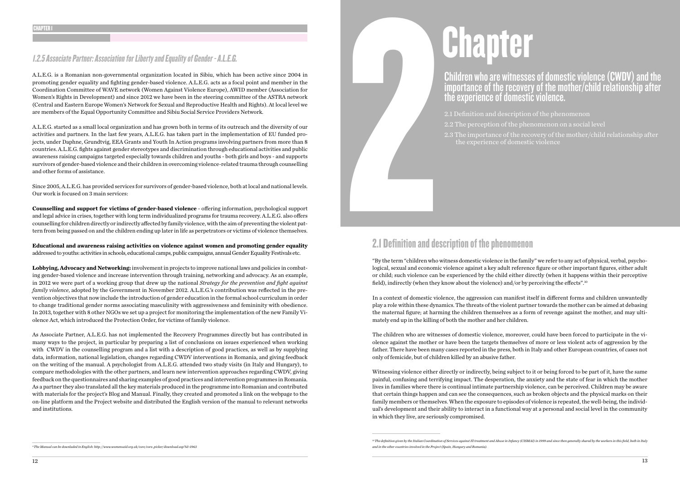### 1.2.5 Associate Partner: Association for Liberty and Equality of Gender - A.L.E.G.

A.L.E.G. is a Romanian non-governmental organization located in Sibiu, which has been active since 2004 in promoting gender equality and fighting gender-based violence. A.L.E.G. acts as a focal point and member in the Coordination Committee of WAVE network (Women Against Violence Europe), AWID member (Association for Women's Rights in Development) and since 2012 we have been in the steering committee of the ASTRA network (Central and Eastern Europe Women's Network for Sexual and Reproductive Health and Rights). At local level we are members of the Equal Opportunity Committee and Sibiu Social Service Providers Network.

A.L.E.G. started as a small local organization and has grown both in terms of its outreach and the diversity of our activities and partners. In the last few years, A.L.E.G. has taken part in the implementation of EU funded projects, under Daphne, Grundtvig, EEA Grants and Youth In Action programs involving partners from more than 8 countries. A.L.E.G. fights against gender stereotypes and discrimination through educational activities and public awareness raising campaigns targeted especially towards children and youths - both girls and boys - and supports survivors of gender-based violence and their children in overcoming violence-related trauma through counselling and other forms of assistance.

Since 2005, A.L.E.G. has provided services for survivors of gender-based violence, both at local and national levels. Our work is focused on 3 main services:

**Counselling and support for victims of gender-based violence** - offering information, psychological support and legal advice in crises, together with long term individualized programs for trauma recovery. A.L.E.G. also offers counselling for children directly or indirectly affected by family violence, with the aim of preventing the violent pattern from being passed on and the children ending up later in life as perpetrators or victims of violence themselves.

**Educational and awareness raising activities on violence against women and promoting gender equality**  addressed to youths: activities in schools, educational camps, public campaigns, annual Gender Equality Festivals etc.

# es anti-<br>Allen Contract Contract Contract Contract Contract Contract Contract Contract Contract Contract Contract Contract Contract Contract Contract Contract Contract Contract Contract Contract Contract Contract Contract 2.1 Definition and description of the phenomenon

**Lobbying, Advocacy and Networking:** involvement in projects to improve national laws and policies in combating gender-based violence and increase intervention through training, networking and advocacy. As an example, in 2012 we were part of a working group that drew up the national *Strategy for the prevention and fight against family violence*, adopted by the Government in November 2012. A.L.E.G.'s contribution was reflected in the prevention objectives that now include the introduction of gender education in the formal school curriculum in order to change traditional gender norms associating masculinity with aggressiveness and femininity with obedience. In 2013, together with 8 other NGOs we set up a project for monitoring the implementation of the new Family Violence Act, which introduced the Protection Order, for victims of family violence.

As Associate Partner, A.L.E.G. has not implemented the Recovery Programmes directly but has contributed in many ways to the project, in particular by preparing a list of conclusions on issues experienced when working with CWDV in the counselling program and a list with a description of good practices, as well as by supplying data, information, national legislation, changes regarding CWDV interventions in Romania, and giving feedback on the writing of the manual. A psychologist from A.L.E.G. attended two study visits (in Italy and Hungary), to compare methodologies with the other partners, and learn new intervention approaches regarding CWDV, giving feedback on the questionnaires and sharing examples of good practices and intervention programmes in Romania. As a partner they also translated all the key materials produced in the programme into Romanian and contributed with materials for the project's Blog and Manual. Finally, they created and promoted a link on the webpage to the on-line platform and the Project website and distributed the English version of the manual to relevant networks and institutions.

# Chapter

### Children who are witnesses of domestic violence (CWDV) and the importance of the recovery of the mother/child relationship after the experience of domestic violence.

2.1 Definition and description of the phenomenon 2.2 The perception of the phenomenon on a social level 2.3 The importance of the recovery of the mother/child relationship after the experience of domestic violence

"By the term "children who witness domestic violence in the family" we refer to any act of physical, verbal, psychological, sexual and economic violence against a key adult reference figure or other important figures, either adult or child; such violence can be experienced by the child either directly (when it happens within their perceptive field), indirectly (when they know about the violence) and/or by perceiving the effects".10

In a context of domestic violence, the aggression can manifest itself in different forms and children unwantedly play a role within these dynamics. The threats of the violent partner towards the mother can be aimed at debasing the maternal figure; at harming the children themselves as a form of revenge against the mother, and may ultimately end up in the killing of both the mother and her children.

The children who are witnesses of domestic violence, moreover, could have been forced to participate in the violence against the mother or have been the targets themselves of more or less violent acts of aggression by the father. There have been many cases reported in the press, both in Italy and other European countries, of cases not only of femicide, but of children killed by an abusive father.

Witnessing violence either directly or indirectly, being subject to it or being forced to be part of it, have the same painful, confusing and terrifying impact. The desperation, the anxiety and the state of fear in which the mother lives in families where there is continual intimate partnership violence, can be perceived. Children may be aware that certain things happen and can see the consequences, such as broken objects and the physical marks on their family members or themselves. When the exposure to episodes of violence is repeated, the well-being, the individual's development and their ability to interact in a functional way at a personal and social level in the community in which they live, are seriously compromised.

*10 The definition given by the Italian Coordination of Services against Ill treatment and Abuse in Infancy (CISMAI) in 1999 and since then generally shared by the workers in this field, both in Italy* 

- 
- 

*<sup>9</sup> The Manual can be downladed in English: http://www.womensaid.org.uk/core/core\_picker/download.asp?id=1963*

*and in the other countries involved in the Project (Spain, Hungary and Romania).*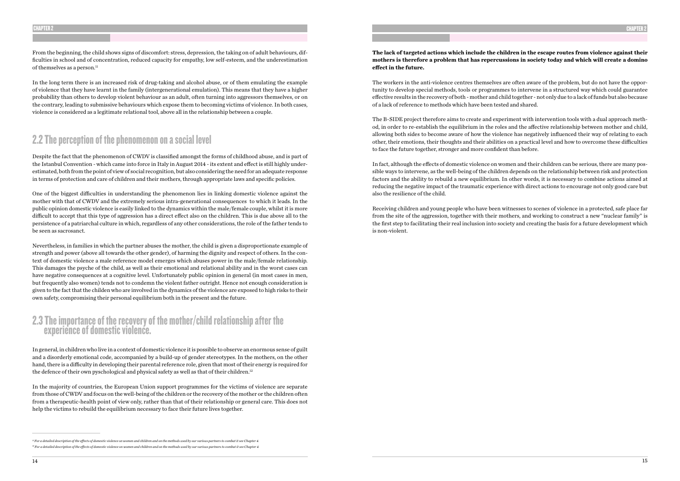From the beginning, the child shows signs of discomfort: stress, depression, the taking on of adult behaviours, difficulties in school and of concentration, reduced capacity for empathy, low self-esteem, and the underestimation of themselves as a person.<sup>11</sup>

In the long term there is an increased risk of drug-taking and alcohol abuse, or of them emulating the example of violence that they have learnt in the family (intergenerational emulation). This means that they have a higher probability than others to develop violent behaviour as an adult, often turning into aggressors themselves, or on the contrary, leading to submissive behaviours which expose them to becoming victims of violence. In both cases, violence is considered as a legitimate relational tool, above all in the relationship between a couple.

# 2.2 The perception of the phenomenon on a social level

Despite the fact that the phenomenon of CWDV is classified amongst the forms of childhood abuse, and is part of the Istanbul Convention - which came into force in Italy in August 2014 - its extent and effect is still highly underestimated, both from the point of view of social recognition, but also considering the need for an adequate response in terms of protection and care of children and their mothers, through appropriate laws and specific policies.

In general, in children who live in a context of domestic violence it is possible to observe an enormous sense of guilt and a disorderly emotional code, accompanied by a build-up of gender stereotypes. In the mothers, on the other hand, there is a difficulty in developing their parental reference role, given that most of their energy is required for the defence of their own pyschological and physical safety as well as that of their children.<sup>12</sup>

One of the biggest difficulties in understanding the phenomenon lies in linking domestic violence against the mother with that of CWDV and the extremely serious intra-generational consequences to which it leads. In the public opinion domestic violence is easily linked to the dynamics within the male/female couple, whilst it is more difficult to accept that this type of aggression has a direct effect also on the children. This is due above all to the persistence of a patriarchal culture in which, regardless of any other considerations, the role of the father tends to be seen as sacrosanct.

Nevertheless, in families in which the partner abuses the mother, the child is given a disproportionate example of strength and power (above all towards the other gender), of harming the dignity and respect of others. In the context of domestic violence a male reference model emerges which abuses power in the male/female relationship. This damages the psyche of the child, as well as their emotional and relational ability and in the worst cases can have negative consequences at a cognitive level. Unfortunately public opinion in general (in most cases in men, but frequently also women) tends not to condemn the violent father outright. Hence not enough consideration is given to the fact that the childen who are involved in the dynamics of the violence are exposed to high risks to their own safety, compromising their personal equilibrium both in the present and the future.

### 2.3 The importance of the recovery of the mother/child relationship after the experience of domestic violence.

In the majority of countries, the European Union support programmes for the victims of violence are separate from those of CWDV and focus on the well-being of the children or the recovery of the mother or the children often from a therapeutic-health point of view only, rather than that of their relationship or general care. This does not help the victims to rebuild the equilibrium necessary to face their future lives together.

### **The lack of targeted actions which include the children in the escape routes from violence against their mothers is therefore a problem that has repercussions in society today and which will create a domino effect in the future.**

The workers in the anti-violence centres themselves are often aware of the problem, but do not have the opportunity to develop special methods, tools or programmes to intervene in a structured way which could guarantee effective results in the recovery of both - mother and child together - not only due to a lack of funds but also because of a lack of reference to methods which have been tested and shared.

The B-SIDE project therefore aims to create and experiment with intervention tools with a dual approach method, in order to re-establish the equilibrium in the roles and the affective relationship between mother and child, allowing both sides to become aware of how the violence has negatively influenced their way of relating to each other, their emotions, their thoughts and their abilities on a practical level and how to overcome these difficulties to face the future together, stronger and more confident than before.

In fact, although the effects of domestic violence on women and their children can be serious, there are many possible ways to intervene, as the well-being of the children depends on the relationship between risk and protection factors and the ability to rebuild a new equilibrium. In other words, it is necessary to combine actions aimed at reducing the negative impact of the traumatic experience with direct actions to encourage not only good care but also the resilience of the child.

Receiving children and young people who have been witnesses to scenes of violence in a protected, safe place far from the site of the aggression, together with their mothers, and working to construct a new "nuclear family" is the first step to facilitating their real inclusion into society and creating the basis for a future development which is non-violent.

*<sup>11</sup> For a detailed description of the effects of domestic violence on women and children and on the methods used by our various partners to combat it see Chapter 4. 12 For a detailed description of the effects of domestic violence on women and children and on the methods used by our various partners to combat it see Chapter 4.*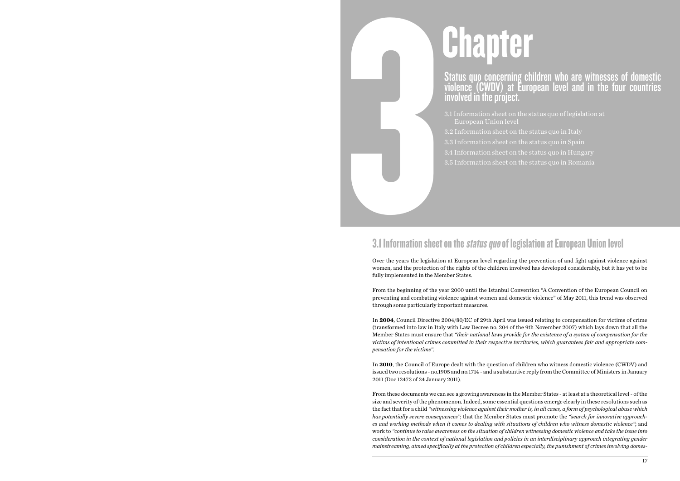# **Chapter**

### Status quo concerning children who are witnesses of domestic violence (CWDV) at European level and in the four countries involved in the project.

3.1 Information sheet on the status quo of legislation at European Union level 3.2 Information sheet on the status quo in Italy

# 3.1 Information sheet<br>Over the years the legislation 3.1 Information sheet on the status quo of legislation at European Union level

- 
- 3.3 Information sheet on the status quo in Spain
- 3.4 Information sheet on the status quo in Hungary
- 3.5 Information sheet on the status quo in Romania

Over the years the legislation at European level regarding the prevention of and fight against violence against women, and the protection of the rights of the children involved has developed considerably, but it has yet to be fully implemented in the Member States.

From the beginning of the year 2000 until the Istanbul Convention "A Convention of the European Council on preventing and combating violence against women and domestic violence" of May 2011, this trend was observed through some particularly important measures.

In **2004**, Council Directive 2004/80/EC of 29th April was issued relating to compensation for victims of crime (transformed into law in Italy with Law Decree no. 204 of the 9th November 2007) which lays down that all the Member States must ensure that *"their national laws provide for the existence of a system of compensation for the victims of intentional crimes committed in their respective territories, which guarantees fair and appropriate compensation for the victims".* 

In **2010**, the Council of Europe dealt with the question of children who witness domestic violence (CWDV) and issued two resolutions - no.1905 and no.1714 - and a substantive reply from the Committee of Ministers in January 2011 (Doc 12473 of 24 January 2011).

From these documents we can see a growing awareness in the Member States - at least at a theoretical level - of the size and severity of the phenomenon. Indeed, some essential questions emerge clearly in these resolutions such as the fact that for a child *"witnessing violence against their mother is, in all cases, a form of psychological abuse which has potentially severe consequences"*; that the Member States must promote the *"search for innovative approaches and working methods when it comes to dealing with situations of children who witness domestic violence"*; and work to *"continue to raise awareness on the situation of children witnessing domestic violence and take the issue into consideration in the context of national legislation and policies in an interdisciplinary approach integrating gender mainstreaming, aimed specifically at the protection of children especially, the punishment of crimes involving domes-*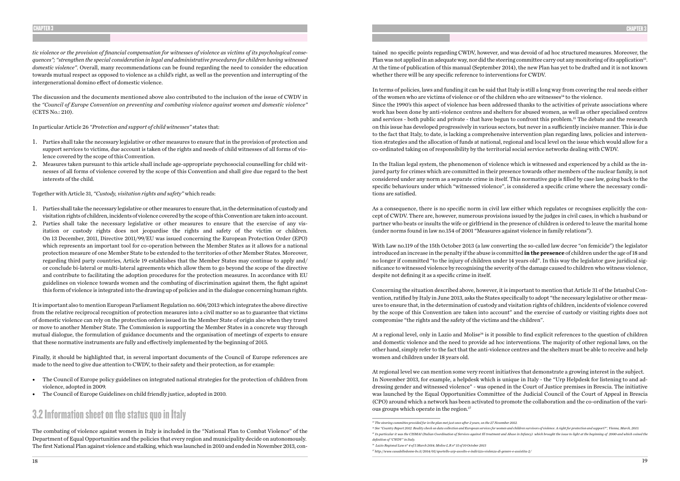*tic violence or the provision of financial compensation for witnesses of violence as victims of its psychological consequences"; "strengthen the special consideration in legal and administrative procedures for children having witnessed domestic violence"*. Overall, many recommendations can be found regarding the need to consider the education towards mutual respect as opposed to violence as a child's right, as well as the prevention and interrupting of the intergenerational domino effect of domestic violence.

The discussion and the documents mentioned above also contributed to the inclusion of the issue of CWDV in the *"Council of Europe Convention on preventing and combating violence against women and domestic violence"*  (CETS No.: 210).

In particular Article 26 *"Protection and support of child witnesses"* states that:

- 1. Parties shall take the necessary legislative or other measures to ensure that in the provision of protection and support services to victims, due account is taken of the rights and needs of child witnesses of all forms of violence covered by the scope of this Convention.
- 2. Measures taken pursuant to this article shall include age-appropriate psychosocial counselling for child witnesses of all forms of violence covered by the scope of this Convention and shall give due regard to the best interests of the child.

Together with Article 31, *"Custody, visitation rights and safety"* which reads:

- 1. Parties shall take the necessary legislative or other measures to ensure that, in the determination of custody and visitation rights of children, incidents of violence covered by the scope of this Convention are taken into account.
- 2. Parties shall take the necessary legislative or other measures to ensure that the exercise of any visitation or custody rights does not jeopardise the rights and safety of the victim or children. On 13 December, 2011, Directive 2011/99/EU was issued concerning the European Protection Order (EPO) which represents an important tool for co-operation between the Member States as it allows for a national protection measure of one Member State to be extended to the territories of other Member States. Moreover, regarding third party countries, Article 19 establishes that the Member States may continue to apply and/ or conclude bi-lateral or multi-lateral agreements which allow them to go beyond the scope of the directive and contribute to facilitating the adoption procedures for the protection measures. In accordance with EU guidelines on violence towards women and the combating of discrimination against them, the fight against this form of violence is integrated into the drawing up of policies and in the dialogue concerning human rights.

It is important also to mention European Parliament Regulation no. 606/2013 which integrates the above directive from the relative reciprocal recognition of protection measures into a civil matter so as to guarantee that victims of domestic violence can rely on the protection orders issued in the Member State of origin also when they travel or move to another Member State. The Commission is supporting the Member States in a concrete way through mutual dialogue, the formulation of guidance documents and the organisation of meetings of experts to ensure that these normative instruments are fully and effectively implemented by the beginning of 2015.

Finally, it should be highlighted that, in several important documents of the Council of Europe references are made to the need to give due attention to CWDV, to their safety and their protection, as for example:

- The Council of Europe policy guidelines on integrated national strategies for the protection of children from violence, adopted in 2009.
- The Council of Europe Guidelines on child friendly justice, adopted in 2010.

### 3.2 Information sheet on the status quo in Italy

At a regional level, only in Lazio and Molise<sup>16</sup> is it possible to find explicit references to the question of children and domestic violence and the need to provide ad hoc interventions. The majority of other regional laws, on the other hand, simply refer to the fact that the anti-violence centres and the shelters must be able to receive and help women and children under 18 years old.

At regional level we can mention some very recent initiatives that demonstrate a growing interest in the subject. In November 2013, for example, a helpdesk which is unique in Italy - the "Urp Helpdesk for listening to and addressing gender and witnessed violence" - was opened in the Court of Justice premises in Brescia. The initiative was launched by the Equal Opportunities Committee of the Judicial Council of the Court of Appeal in Brescia (CPO) around which a network has been activated to promote the collaboration and the co-ordination of the various groups which operate in the region.<sup>17</sup>

The combating of violence against women in Italy is included in the "National Plan to Combat Violence" of the Department of Equal Opportunities and the policies that every region and municipality decide on autonomously. The first National Plan against violence and stalking, which was launched in 2010 and ended in November 2013, contained no specific points regarding CWDV, however, and was devoid of ad hoc structured measures. Moreover, the Plan was not applied in an adequate way, nor did the steering committee carry out any monitoring of its application<sup>13</sup>. At the time of publication of this manual (September 2014), the new Plan has yet to be drafted and it is not known whether there will be any specific reference to interventions for CWDV.

In terms of policies, laws and funding it can be said that Italy is still a long way from covering the real needs either of the women who are victims of violence or of the children who are witnesses<sup>14</sup> to the violence. Since the 1990's this aspect of violence has been addressed thanks to the activities of private associations where work has been done by anti-violence centres and shelters for abused women, as well as other specialised centres and services - both public and private - that have begun to confront this problem.15 The debate and the research on this issue has developed progressively in various sectors, but never in a sufficiently incisive manner. This is due to the fact that Italy, to date, is lacking a comprehensive intervention plan regarding laws, policies and intervention strategies and the allocation of funds at national, regional and local level on the issue which would allow for a co-ordinated taking on of responsibility by the territorial social service networks dealing with CWDV.

In the Italian legal system, the phenomenon of violence which is witnessed and experienced by a child as the injured party for crimes which are committed in their presence towards other members of the nuclear family, is not considered under any norm as a separate crime in itself. This normative gap is filled by case law, going back to the specific behaviours under which "witnessed violence", is considered a specific crime where the necessary conditions are satisfied.

As a consequence, there is no specific norm in civil law either which regulates or recognises explicitly the concept of CWDV. There are, however, numerous provisions issued by the judges in civil cases, in which a husband or partner who beats or insults the wife or girlfriend in the presence of children is ordered to leave the marital home (under norms found in law no.154 of 2001 "Measures against violence in family relations").

With Law no.119 of the 15th October 2013 (a law converting the so-called law decree "on femicide") the legislator introduced an increase in the penalty if the abuse is committed **in the presence** of children under the age of 18 and no longer if committed "to the injury of children under 14 years old". In this way the legislator gave juridical significance to witnessed violence by recognising the severity of the damage caused to children who witness violence, despite not defining it as a specific crime in itself.

Concerning the situation described above, however, it is important to mention that Article 31 of the Istanbul Convention, ratified by Italy in June 2013, asks the States specifically to adopt "the necessary legislative or other measures to ensure that, in the determination of custody and visitation rights of children, incidents of violence covered by the scope of this Convention are taken into account" and the exercise of custody or visiting rights does not compromise "the rights and the safety of the victims and the children".

<sup>15</sup> In particular it was the CISMAI (Italian Coordination of Services against Ill treatment and Abuse in Infancy) which brought the issue to light at the beginning of 2000 and which coined the

*<sup>13</sup> The steering committee provided for in the plan met just once after 2 years, on the 27 November 2012. 14 See "Country Report 2012. Reality check on data collection and European services for women and children survivors of violence. A right for protection and support?", Vienna, March, 2013.*

*definition of "CWDV" in Italy.* 

*<sup>16</sup> Lazio Regional Law n° 4 of 5 March 2014; Molise L.R n° 15 of 10 October 2013*

*<sup>17</sup> http://www.casadelledonne-bs.it/2014/05/sportello-urp-ascolto-e-indirizzo-violenza-di-genere-e-assistita-2/*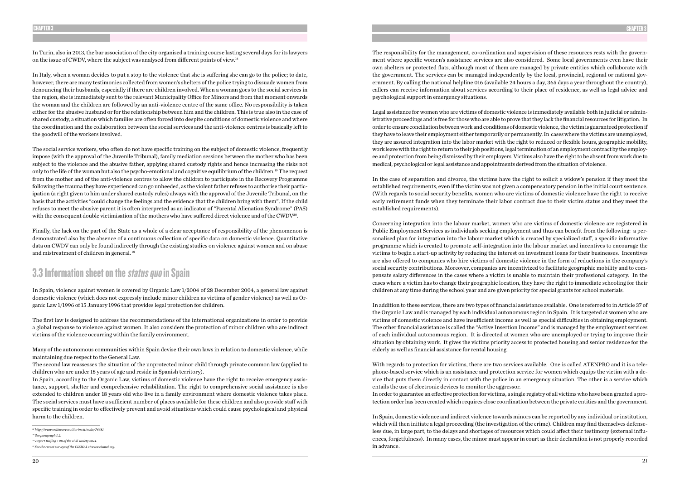In Turin, also in 2013, the bar association of the city organised a training course lasting several days for its lawyers on the issue of CWDV, where the subject was analysed from different points of view.18

The social service workers, who often do not have specific training on the subject of domestic violence, frequently impose (with the approval of the Juvenile Tribunal), family mediation sessions between the mother who has been subject to the violence and the abusive father, applying shared custody rights and hence increasing the risks not only to the life of the woman but also the psycho-emotional and cognitive equilibrium of the children.19 The request from the mother and of the anti-violence centres to allow the children to participate in the Recovery Programme following the trauma they have experienced can go unheeded, as the violent father refuses to authorise their participation (a right given to him under shared custody rules) always with the approval of the Juvenile Tribunal, on the basis that the activities "could change the feelings and the evidence that the children bring with them". If the child refuses to meet the abusive parent it is often interpreted as an indicator of "Parental Alienation Syndrome" (PAS) with the consequent double victimisation of the mothers who have suffered direct violence and of the CWDV<sup>20</sup>.

In Italy, when a woman decides to put a stop to the violence that she is suffering she can go to the police; to date, however, there are many testimonies collected from women's shelters of the police trying to dissuade women from denouncing their husbands, especially if there are children involved. When a woman goes to the social services in the region, she is immediately sent to the relevant Municipality Office for Minors and from that moment onwards the woman and the children are followed by an anti-violence centre of the same office. No responsibility is taken either for the abusive husband or for the relationship between him and the children. This is true also in the case of shared custody, a situation which families are often forced into despite conditions of domestic violence and where the coordination and the collaboration between the social services and the anti-violence centres is basically left to the goodwill of the workers involved.

Finally, the lack on the part of the State as a whole of a clear acceptance of responsibility of the phenomenon is demonstrated also by the absence of a continuous collection of specific data on domestic violence. Quantitative data on CWDV can only be found indirectly through the existing studies on violence against women and on abuse and mistreatment of children in general. 21

### 3.3 Information sheet on the *status quo* in Spain

In Spain, violence against women is covered by Organic Law 1/2004 of 28 December 2004, a general law against domestic violence (which does not expressly include minor children as victims of gender violence) as well as Organic Law 1/1996 of 15 January 1996 that provides legal protection for children.

The first law is designed to address the recommendations of the international organizations in order to provide a global response to violence against women. It also considers the protection of minor children who are indirect victims of the violence occurring within the family environment.

Many of the autonomous communities within Spain devise their own laws in relation to domestic violence, while maintaining due respect to the General Law.

The second law reassesses the situation of the unprotected minor child through private common law (applied to children who are under 18 years of age and reside in Spanish territory).

In Spain, according to the Organic Law, victims of domestic violence have the right to receive emergency assistance, support, shelter and comprehensive rehabilitation. The right to comprehensive social assistance is also extended to children under 18 years old who live in a family environment where domestic violence takes place. The social services must have a sufficient number of places available for these children and also provide staff with specific training in order to effectively prevent and avoid situations which could cause psychological and physical harm to the children.

The responsibility for the management, co-ordination and supervision of these resources rests with the government where specific women's assistance services are also considered. Some local governments even have their own shelters or protected flats, although most of them are managed by private entities which collaborate with the government. The services can be managed independently by the local, provincial, regional or national government. By calling the national helpline 016 (available 24 hours a day, 365 days a year throughout the country), callers can receive information about services according to their place of residence, as well as legal advice and psychological support in emergency situations.

Legal assistance for women who are victims of domestic violence is immediately available both in judicial or administrative proceedings and is free for those who are able to prove that they lack the financial resources for litigation. In order to ensure conciliation between work and conditions of domestic violence, the victim is guaranteed protection if they have to leave their employment either temporarily or permanently. In cases where the victims are unemployed, they are assured integration into the labor market with the right to reduced or flexible hours, geographic mobility, work leave with the right to return to their job positions, legal termination of an employment contract by the employee and protection from being dismissed by their employers. Victims also have the right to be absent from work due to medical, psychological or legal assistance and appointments derived from the situation of violence.

In the case of separation and divorce, the victims have the right to solicit a widow's pension if they meet the established requirements, even if the victim was not given a compensatory pension in the initial court sentence. (With regards to social security benefits, women who are victims of domestic violence have the right to receive early retirement funds when they terminate their labor contract due to their victim status and they meet the established requirements).

Concerning integration into the labour market, women who are victims of domestic violence are registered in Public Employment Services as individuals seeking employment and thus can benefit from the following: a personalised plan for integration into the labour market which is created by specialized staff, a specific informative programme which is created to promote self-integration into the labour market and incentives to encourage the victims to begin a start-up activity by reducing the interest on investment loans for their businesses. Incentives are also offered to companies who hire victims of domestic violence in the form of reductions in the company's social security contributions. Moreover, companies are incentivized to facilitate geographic mobility and to compensate salary differences in the cases where a victim is unable to maintain their professional category. In the cases where a victim has to change their geographic location, they have the right to immediate schooling for their children at any time during the school year and are given priority for special grants for school materials.

In addition to these services, there are two types of financial assistance available. One is referred to in Article 37 of the Organic Law and is managed by each individual autonomous region in Spain. It is targeted at women who are victims of domestic violence and have insufficient income as well as special difficulties in obtaining employment. The other financial assistance is called the "Active Insertion Income" and is managed by the employment services of each individual autonomous region. It is directed at women who are unemployed or trying to improve their situation by obtaining work. It gives the victims priority access to protected housing and senior residence for the elderly as well as financial assistance for rental housing.

With regards to protection for victims, there are two services available. One is called ATENPRO and it is a telephone-based service which is an assistance and protection service for women which equips the victim with a device that puts them directly in contact with the police in an emergency situation. The other is a service which entails the use of electronic devices to monitor the aggressor. In order to guarantee an effective protection for victims, a single registry of all victims who have been granted a protection order has been created which requires close coordination between the private entities and the government.

In Spain, domestic violence and indirect violence towards minors can be reported by any individual or institution, which will then initiate a legal proceeding (the investigation of the crime). Children may find themselves defenseless due, in large part, to the delays and shortages of resources which could affect their testimony (external influences, forgetfulness). In many cases, the minor must appear in court as their declaration is not properly recorded in advance.

*<sup>18</sup> http://www.ordineavvocatitorino.it/node/76681*

*<sup>19</sup> See paragraph 1.2.*

*<sup>20</sup> Report Beijing + 20 of the civil society 2014.*

*<sup>21</sup> See the recent surveys of the CISMAI at www.cismai.org.*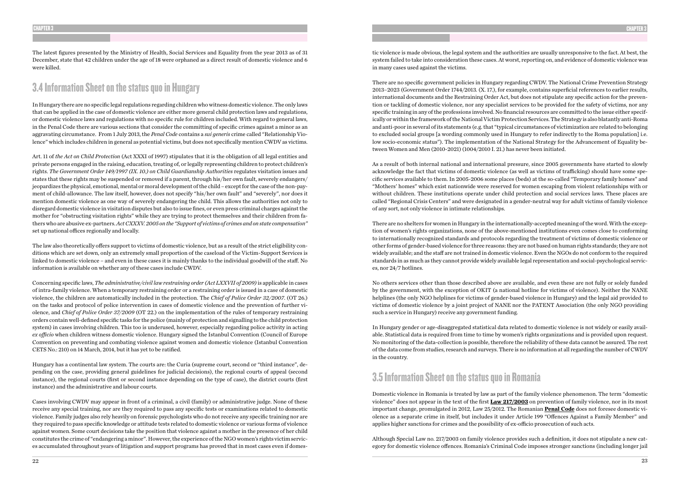The latest figures presented by the Ministry of Health, Social Services and Equality from the year 2013 as of 31 December, state that 42 children under the age of 18 were orphaned as a direct result of domestic violence and 6 were killed.

# 3.4 Information Sheet on the status quo in Hungary

In Hungary there are no specific legal regulations regarding children who witness domestic violence. The only laws that can be applied in the case of domestic violence are either more general child protection laws and regulations, or domestic violence laws and regulations with no specific rule for children included. With regard to general laws, in the Penal Code there are various sections that consider the committing of specific crimes against a minor as an aggravating circumstance. From 1 July 2013, the *Penal Code* contains a *sui generis* crime called "Relationship Violence" which includes children in general as potential victims, but does not specifically mention CWDV as victims.

Art. 11 of *the Act on Child Protection* (Act XXXI of 1997) stipulates that it is the obligation of all legal entities and private persons engaged in the raising, education, treating of, or legally representing children to protect children's rights. *The Government Order 149/1997 (IX. 10.) on Child Guardianship Authorities* regulates visitation issues and states that these rights may be suspended or removed if a parent, through his/her own fault, severely endangers/ jeopardizes the physical, emotional, mental or moral development of the child – except for the case of the non-payment of child-allowance. The law itself, however, does not specify "his/her own fault" and "severely", nor does it mention domestic violence as one way of severely endangering the child. This allows the authorities not only to disregard domestic violence in visitation disputes but also to issue fines, or even press criminal charges against the mother for "obstructing visitation rights" while they are trying to protect themselves and their children from fathers who are abusive ex-partners. *Act CXXXV. 2005 on the "Support of victims of crimes and on state compensation"* set up national offices regionally and locally.

The law also theoretically offers support to victims of domestic violence, but as a result of the strict eligibility conditions which are set down, only an extremely small proportion of the caseload of the Victim-Support Services is linked to domestic violence – and even in these cases it is mainly thanks to the individual goodwill of the staff. No information is available on whether any of these cases include CWDV.

Concerning specific laws, *The administrative/civil law restraining order (Act LXXVII of 2009)* is applicable in cases of intra-family violence. When a temporary restraining order or a restraining order is issued in a case of domestic violence, the children are automatically included in the protection. The *Chief of Police Order 32/2007*. (OT 26.) on the tasks and protocol of police intervention in cases of domestic violence and the prevention of further violence, and *Chief of Police Order 37/2009* (OT 22.) on the implementation of the rules of temporary restraining orders contain well-defined specific tasks for the police (mainly of protection and signalling to the child protection system) in cases involving children. This too is underused, however, especially regarding police activity in acting *ex officio* when children witness domestic violence. Hungary signed the Istanbul Convention (Council of Europe Convention on preventing and combating violence against women and domestic violence (Istanbul Convention CETS No.: 210) on 14 March, 2014, but it has yet to be ratified.

Hungary has a continental law system. The courts are: the Curia (supreme court, second or "third instance", depending on the case, providing general guidelines for judicial decisions), the regional courts of appeal (second instance), the regional courts (first or second instance depending on the type of case), the district courts (first instance) and the administrative and labour courts.

Cases involving CWDV may appear in front of a criminal, a civil (family) or administrative judge. None of these receive any special training, nor are they required to pass any specific tests or examinations related to domestic violence. Family judges also rely heavily on forensic psychologists who do not receive any specific training nor are they required to pass specific knowledge or attitude tests related to domestic violence or various forms of violence against women. Some court decisions take the position that violence against a mother in the presence of her child constitutes the crime of "endangering a minor". However, the experience of the NGO women's rights victim services accumulated throughout years of litigation and support programs has proved that in most cases even if domestic violence is made obvious, the legal system and the authorities are usually unresponsive to the fact. At best, the system failed to take into consideration these cases. At worst, reporting on, and evidence of domestic violence was in many cases used against the victims.

There are no specific government policies in Hungary regarding CWDV. The National Crime Prevention Strategy 2013–2023 (Government Order 1744/2013. (X. 17.), for example, contains superficial references to earlier results, international documents and the Restraining Order Act, but does not stipulate any specific action for the prevention or tackling of domestic violence, nor any specialist services to be provided for the safety of victims, nor any specific training in any of the professions involved. No financial resources are committed to the issue either specifically or within the framework of the National Victim Protection Services. The Strategy is also blatantly anti-Roma and anti-poor in several of its statements (e.g. that "typical circumstances of victimization are related to belonging to excluded social groups [a wording commonly used in Hungary to refer indirectly to the Roma population] i.e. low socio-economic status"). The implementation of the National Strategy for the Advancement of Equality between Women and Men (2010-2021) (1004/2010 I. 21.) has never been initiated.

As a result of both internal national and international pressure, since 2005 governments have started to slowly acknowledge the fact that victims of domestic violence (as well as victims of trafficking) should have some specific services available to them. In 2005-2006 some places (beds) at the so-called "Temporary family homes" and "Mothers' homes" which exist nationwide were reserved for women escaping from violent relationships with or without children. These institutions operate under child protection and social services laws. These places are called "Regional Crisis Centers" and were designated in a gender-neutral way for adult victims of family violence of any sort, not only violence in intimate relationships.

There are no shelters for women in Hungary in the internationally-accepted meaning of the word. With the exception of women's rights organizations, none of the above-mentioned institutions even comes close to conforming to internationally recognized standards and protocols regarding the treatment of victims of domestic violence or other forms of gender-based violence for three reasons: they are not based on human rights standards; they are not widely available; and the staff are not trained in domestic violence. Even the NGOs do not conform to the required standards in as much as they cannot provide widely available legal representation and social-psychological services, nor 24/7 hotlines.

No others services other than those described above are available, and even these are not fully or solely funded by the government, with the exception of OKIT (a national hotline for victims of violence). Neither the NANE helplines (the only NGO helplines for victims of gender-based violence in Hungary) and the legal aid provided to victims of domestic violence by a joint project of NANE nor the PATENT Association (the only NGO providing such a service in Hungary) receive any government funding.

In Hungary gender or age-disaggregated statistical data related to domestic violence is not widely or easily available. Statistical data is required from time to time by women's rights organizations and is provided upon request. No monitoring of the data-collection is possible, therefore the reliability of these data cannot be assured. The rest of the data come from studies, research and surveys. There is no information at all regarding the number of CWDV in the country.

# 3.5 Information Sheet on the status quo in Romania

Domestic violence in Romania is treated by law as part of the family violence phenomenon. The term "domestic violence" does not appear in the text of the first **Law 217/2003** on prevention of family violence, nor in its most important change, promulgated in 2012, Law 25/2012. The Romanian **Penal Code** does not foresee domestic violence as a separate crime in itself, but includes it under Article 199 "Offences Against a Family Member" and applies higher sanctions for crimes and the possibility of ex-officio prosecution of such acts.

Although Special Law no. 217/2003 on family violence provides such a definition, it does not stipulate a new category for domestic violence offences. Romania's Criminal Code imposes stronger sanctions (including longer jail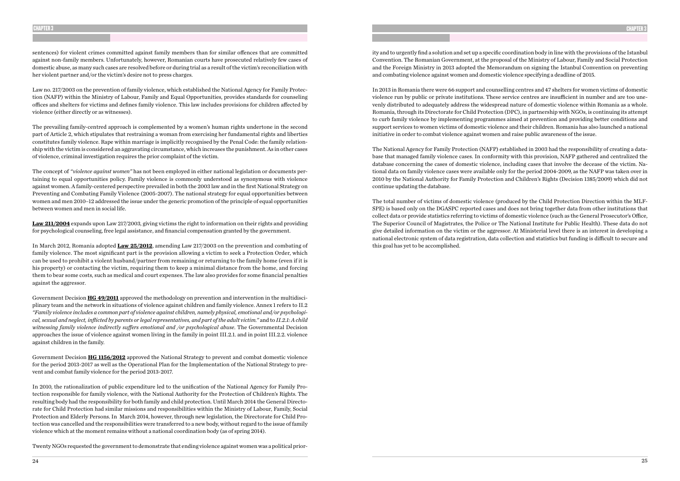sentences) for violent crimes committed against family members than for similar offences that are committed against non-family members. Unfortunately, however, Romanian courts have prosecuted relatively few cases of domestic abuse, as many such cases are resolved before or during trial as a result of the victim's reconciliation with her violent partner and/or the victim's desire not to press charges.

Law no. 217/2003 on the prevention of family violence, which established the National Agency for Family Protection (NAFP) within the Ministry of Labour, Family and Equal Opportunities, provides standards for counseling offices and shelters for victims and defines family violence. This law includes provisions for children affected by violence (either directly or as witnesses).

The prevailing family-centred approach is complemented by a women's human rights undertone in the second part of Article 2, which stipulates that restraining a woman from exercising her fundamental rights and liberties constitutes family violence. Rape within marriage is implicitly recognised by the Penal Code: the family relationship with the victim is considered an aggravating circumstance, which increases the punishment. As in other cases of violence, criminal investigation requires the prior complaint of the victim.

The concept of *"violence against women"* has not been employed in either national legislation or documents pertaining to equal opportunities policy. Family violence is commonly understood as synonymous with violence against women. A family-centered perspective prevailed in both the 2003 law and in the first National Strategy on Preventing and Combating Family Violence (2005-2007). The national strategy for equal opportunities between women and men 2010–12 addressed the issue under the generic promotion of the principle of equal opportunities between women and men in social life.

**Law 211/2004** expands upon Law 217/2003, giving victims the right to information on their rights and providing for psychological counseling, free legal assistance, and financial compensation granted by the government.

In March 2012, Romania adopted **Law 25/2012**, amending Law 217/2003 on the prevention and combating of family violence. The most significant part is the provision allowing a victim to seek a Protection Order, which can be used to prohibit a violent husband/partner from remaining or returning to the family home (even if it is his property) or contacting the victim, requiring them to keep a minimal distance from the home, and forcing them to bear some costs, such as medical and court expenses. The law also provides for some financial penalties against the aggressor.

Government Decision **HG 49/2011** approved the methodology on prevention and intervention in the multidisciplinary team and the network in situations of violence against children and family violence. Annex 1 refers to II.2 *"Family violence includes a common part of violence against children, namely physical, emotional and/or psychological, sexual and neglect, inflicted by parents or legal representatives, and part of the adult victim."* and to *II.2.1: A child witnessing family violence indirectly suffers emotional and /or psychological abuse*. The Governmental Decision approaches the issue of violence against women living in the family in point III.2.1. and in point III.2.2. violence against children in the family.

Government Decision **HG 1156/2012** approved the National Strategy to prevent and combat domestic violence for the period 2013-2017 as well as the Operational Plan for the Implementation of the National Strategy to prevent and combat family violence for the period 2013-2017.

In 2010, the rationalization of public expenditure led to the unification of the National Agency for Family Protection responsible for family violence, with the National Authority for the Protection of Children's Rights. The resulting body had the responsibility for both family and child protection. Until March 2014 the General Directorate for Child Protection had similar missions and responsibilities within the Ministry of Labour, Family, Social Protection and Elderly Persons. In March 2014, however, through new legislation, the Directorate for Child Protection was cancelled and the responsibilities were transferred to a new body, without regard to the issue of family violence which at the moment remains without a national coordination body (as of spring 2014).

Twenty NGOs requested the government to demonstrate that ending violence against women was a political prior-

ity and to urgently find a solution and set up a specific coordination body in line with the provisions of the Istanbul Convention. The Romanian Government, at the proposal of the Ministry of Labour, Family and Social Protection and the Foreign Ministry in 2013 adopted the Memorandum on signing the Istanbul Convention on preventing and combating violence against women and domestic violence specifying a deadline of 2015.

In 2013 in Romania there were 66 support and counselling centres and 47 shelters for women victims of domestic violence run by public or private institutions. These service centres are insufficient in number and are too unevenly distributed to adequately address the widespread nature of domestic violence within Romania as a whole. Romania, through its Directorate for Child Protection (DPC), in partnership with NGOs, is continuing its attempt to curb family violence by implementing programmes aimed at prevention and providing better conditions and support services to women victims of domestic violence and their children. Romania has also launched a national initiative in order to combat violence against women and raise public awareness of the issue.

The National Agency for Family Protection (NAFP) established in 2003 had the responsibility of creating a database that managed family violence cases. In conformity with this provision, NAFP gathered and centralized the database concerning the cases of domestic violence, including cases that involve the decease of the victim. National data on family violence cases were available only for the period 2004-2009, as the NAFP was taken over in 2010 by the National Authority for Family Protection and Children's Rights (Decision 1385/2009) which did not continue updating the database.

The total number of victims of domestic violence (produced by the Child Protection Direction within the MLF-SPE) is based only on the DGASPC reported cases and does not bring together data from other institutions that collect data or provide statistics referring to victims of domestic violence (such as the General Prosecutor's Office, The Superior Council of Magistrates, the Police or The National Institute for Public Health). These data do not give detailed information on the victim or the aggressor. At Ministerial level there is an interest in developing a national electronic system of data registration, data collection and statistics but funding is difficult to secure and this goal has yet to be accomplished.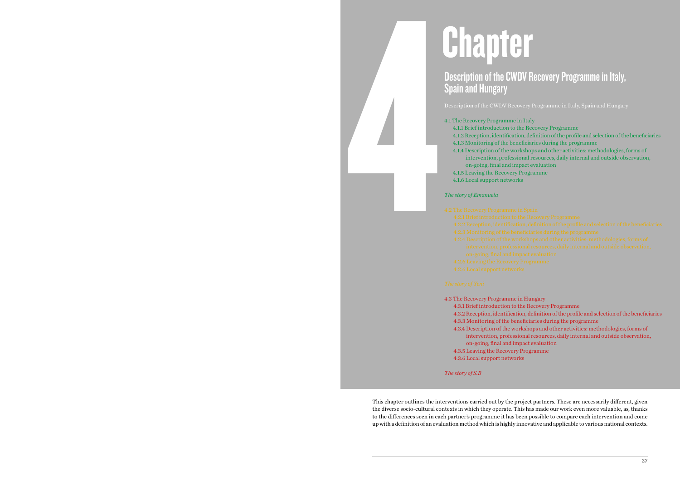

# Description of the CWDV Recovery Programme in Italy,

# Chapter Spain and Hungary

- 4.1 The Recovery Programme in Italy on-going, final and impact evaluation
- *The story of Emanuela*
- -
	-
- 
- 

- 
- 4.1.1 Brief introduction to the Recovery Programme
- 4.1.2 Reception, identification, definition of the profile and selection of the beneficiaries 4.1.3 Monitoring of the beneficiaries during the programme
- 4.1.4 Description of the workshops and other activities: methodologies, forms of
	- intervention, professional resources, daily internal and outside observation,
		-
- 4.1.5 Leaving the Recovery Programme
- 4.1.6 Local support networks

- 
- 
- 
- 

4.3 The Recovery Programme in Hungary 4.3.1 Brief introduction to the Recovery Programme 4.3.2 Reception, identification, definition of the profile and selection of the beneficiaries 4.3.3 Monitoring of the beneficiaries during the programme 4.3.4 Description of the workshops and other activities: methodologies, forms of intervention, professional resources, daily internal and outside observation, on-going, final and impact evaluation 4.3.5 Leaving the Recovery Programme 4.3.6 Local support networks

*The story of S.B*

This chapter outlines the interventions carried out by the project partners. These are necessarily different, given the diverse socio-cultural contexts in which they operate. This has made our work even more valuable, as, thanks to the differences seen in each partner's programme it has been possible to compare each intervention and come up with a definition of an evaluation method which is highly innovative and applicable to various national contexts.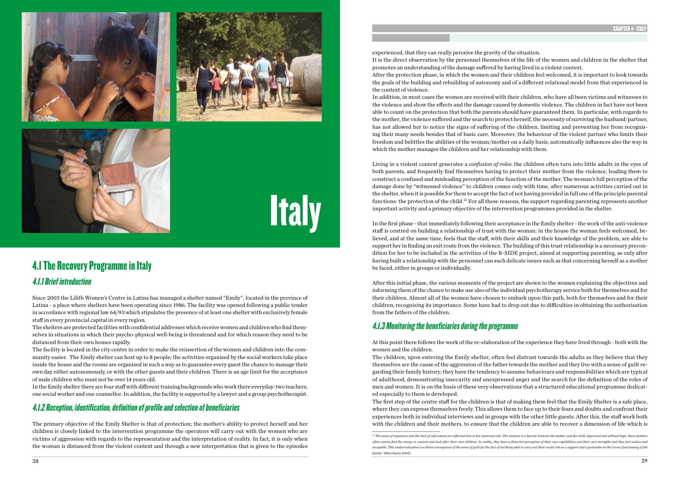





**Italy** 

# 4.1 The Recovery Programme in Italy

### 4.1.1 Brief introduction

Since 2003 the Lilith Women's Centre in Latina has managed a shelter named "Emily", located in the province of Latina - a place where shelters have been operating since 1986. The facility was opened following a public tender in accordance with regional law 64/93 which stipulates the presence of at least one shelter with exclusively female staff in every provincial capital in every region.

The shelters are protected facilities with confidential addresses which receive women and children who find themselves in situations in which their psycho-physical well-being is threatened and for which reason they need to be distanced from their own homes rapidly.

The facility is located in the city centre in order to make the reinsertion of the women and children into the community easier. The Emily shelter can host up to 8 people; the activities organised by the social workers take place inside the house and the rooms are organised in such a way as to guarantee every guest the chance to manage their own day either autonomously, or with the other guests and their children. There is an age limit for the acceptance of male children who must not be over 14 years old.

In the Emily shelter there are four staff with different training backgrounds who work there everyday: two teachers, one social worker and one counsellor. In addition, the facility is supported by a lawyer and a group psychotherapist.

### 4.1.2 Reception, identification, definition of profile and selection of beneficiaries

The primary objective of the Emily Shelter is that of protection; the mother's ability to protect herself and her children is closely linked to the intervention programme the operators will carry out with the women who are victims of aggression with regards to the representation and the interpretation of reality. In fact, it is only when the woman is distanced from the violent context and through a new interpretation that is given to the episodes

experienced, that they can really perceive the gravity of the situation. It is the direct observation by the personnel themselves of the life of the women and children in the shelter that promotes an understanding of the damage suffered by having lived in a violent context. After the protection phase, in which the women and their children feel welcomed, it is important to look towards the goals of the building and rebuilding of autonomy and of a different relational model from that experienced in the context of violence.

In addition, in most cases the women are received with their children, who have all been victims and witnesses to the violence and show the effects and the damage caused by domestic violence. The children in fact have not been able to count on the protection that both the parents should have guaranteed them. In particular, with regards to the mother, the violence suffered and the search to protect herself, the necessity of surviving the husband/partner, has not allowed her to notice the signs of suffering of the children, limiting and preventing her from recognising their many needs besides that of basic care. Moreover, the behaviour of the violent partner who limits their freedom and belittles the abilities of the woman/mother on a daily basis, automatically influences also the way in which the mother manages the children and her relationship with them.

Living in a violent context generates a *confusion of roles*: the children often turn into little adults in the eyes of both parents, and frequently find themselves having to protect their mother from the violence, leading them to construct a confused and misleading perception of the function of the mother. The woman's full perception of the damage done by "witnessed violence" to children comes only with time, after numerous activities carried out in the shelter, when it is possible for them to accept the fact of not having provided in full one of the principle parental functions: the protection of the child.22 For all these reasons, the support regarding parenting represents another important activity and a primary objective of the intervention programmes provided in the shelter.

In the first phase - that immediately following their acceptance in the Emily shelter - the work of the anti-violence staff is centred on building a relationship of trust with the woman: in the house the woman feels welcomed, believed, and at the same time, feels that the staff, with their skills and their knowledge of the problem, are able to support her in finding an exit route from the violence. The building of this trust relationship is a necessary precondition for her to be included in the activities of the B-SIDE project, aimed at supporting parenting, as only after having built a relationship with the personnel can such delicate issues such as that concerning herself as a mother be faced, either in groups or individually.

After this initial phase, the various moments of the project are shown to the women explaining the objectives and informing them of the chance to make use also of the individual psychotherapy service both for themselves and for their children. Almost all of the women have chosen to embark upon this path, both for themselves and for their children, recognising its importance. Some have had to drop out due to difficulties in obtaining the authorisation from the fathers of the children.

### 4.1.3 Monitoring the beneficiaries during the programme

At this point there follows the work of the re-elaboration of the experience they have lived through - both with the women and the children.

The children, upon entering the Emily shelter, often feel distrust towards the adults as they believe that they themselves are the cause of the aggression of the father towards the mother and they live with a sense of guilt regarding their family history; they have the tendency to assume behaviours and responsibilities which are typical of adulthood, demonstrating insecurity and unexpressed anger and the search for the definition of the roles of men and women. It is on the basis of these very observations that a structured educational programme dedicated especially to them is developed.

The first step of the centre staff for the children is that of making them feel that the Emily Shelter is a safe place, where they can express themselves freely. This allows them to face up to their fears and doubts and confront their experiences both in individual interviews and in groups with the other little guests. After this, the staff work both with the children and their mothers, to ensure that the children are able to recover a dimension of life which is

*<sup>22</sup> The sense of impotence and the lack of self-esteem are reflected also in her maternal role. The violence is a barrier between the mother and the child: depressed and without hope, these mothers often cannot find the energy to contain and look after their own children. In reality, they have a distorted perception of their own capabilities and their own strengths and they feel useless and incapable. This underevaluation is a direct consequence of the sense of guilt for the fact of not being able to carry out their social role as a support and a guarantee to the correct functioning of the family" (Marchueta 2005).*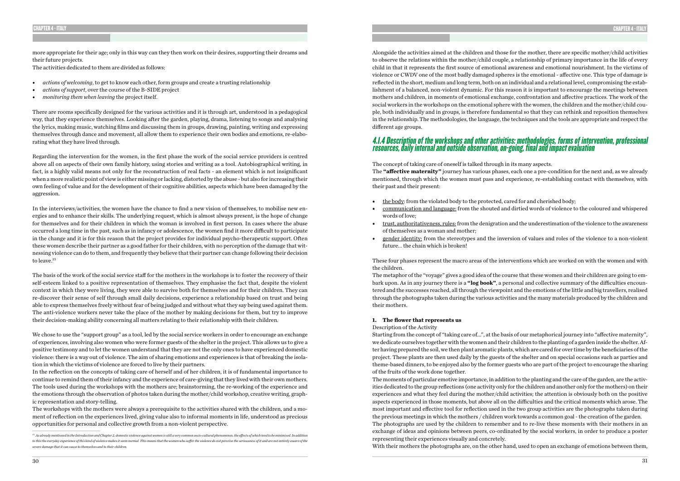more appropriate for their age; only in this way can they then work on their desires, supporting their dreams and their future projects.

The activities dedicated to them are divided as follows:

- *• actions of welcoming*, to get to know each other, form groups and create a trusting relationship
- *• actions of support*, over the course of the B-SIDE project
- *• monitoring them when leaving* the project itself.

There are rooms specifically designed for the various activities and it is through art, understood in a pedagogical way, that they experience themselves. Looking after the garden, playing, drama, listening to songs and analysing the lyrics, making music, watching films and discussing them in groups, drawing, painting, writing and expressing themselves through dance and movement, all allow them to experience their own bodies and emotions, re-elaborating what they have lived through.

In the interviews/activities, the women have the chance to find a new vision of themselves, to mobilise new energies and to enhance their skills. The underlying request, which is almost always present, is the hope of change for themselves and for their children in which the woman is involved in first person. In cases where the abuse occurred a long time in the past, such as in infancy or adolescence, the women find it more difficult to participate in the change and it is for this reason that the project provides for individual psycho-therapeutic support. Often these women describe their partner as a good father for their children, with no perception of the damage that witnessing violence can do to them, and frequently they believe that their partner can change following their decision to leave.<sup>23</sup>

Regarding the intervention for the women, in the first phase the work of the social service providers is centred above all on aspects of their own family history, using stories and writing as a tool. Autobiographical writing, in fact, is a highly valid means not only for the reconstruction of real facts - an element which is not insignificant when a more realistic point of view is either missing or lacking, distorted by the abuse - but also for increasing their own feeling of value and for the development of their cognitive abilities, aspects which have been damaged by the aggression.

The basis of the work of the social service staff for the mothers in the workshops is to foster the recovery of their self-esteem linked to a positive representation of themselves. They emphasise the fact that, despite the violent context in which they were living, they were able to survive both for themselves and for their children. They can re-discover their sense of self through small daily decisions, experience a relationship based on trust and being able to express themselves freely without fear of being judged and without what they say being used against them. The anti-violence workers never take the place of the mother by making decisions for them, but try to improve their decision-making ability concerning all matters relating to their relationship with their children.

We chose to use the "support group" as a tool, led by the social service workers in order to encourage an exchange of experiences, involving also women who were former guests of the shelter in the project. This allows us to give a positive testimony and to let the women understand that they are not the only ones to have experienced domestic violence: there is a way out of violence. The aim of sharing emotions and experiences is that of breaking the isolation in which the victims of violence are forced to live by their partners.

In the reflection on the concepts of taking care of herself and of her children, it is of fundamental importance to continue to remind them of their infancy and the experience of care-giving that they lived with their own mothers. The tools used during the workshops with the mothers are; brainstorming, the re-working of the experience and the emotions through the observation of photos taken during the mother/child workshop, creative writing, graphic representation and story-telling.

The workshops with the mothers were always a prerequisite to the activities shared with the children, and a moment of reflection on the experiences lived, giving value also to informal moments in life, understood as precious opportunities for personal and collective growth from a non-violent perspective.

Alongside the activities aimed at the children and those for the mother, there are specific mother/child activities to observe the relations within the mother/child couple, a relationship of primary importance in the life of every child in that it represents the first source of emotional awareness and emotional nourishment. In the victims of violence or CWDV one of the most badly damaged spheres is the emotional - affective one. This type of damage is reflected in the short, medium and long term, both on an individual and a relational level, compromising the establishment of a balanced, non-violent dynamic. For this reason it is important to encourage the meetings between mothers and children, in moments of emotional exchange, confrontation and affective practices. The work of the social workers in the workshops on the emotional sphere with the women, the children and the mother/child couple, both individually and in groups, is therefore fundamental so that they can rethink and reposition themselves in the relationship. The methodologies, the language, the techniques and the tools are appropriate and respect the different age groups.

### 4.1.4 Description of the workshops and other activities: methodologies, forms of intervention, professional resources, daily internal and outside observation, on-going, final and impact evaluation

The concept of taking care of oneself is talked through in its many aspects. The **"affective maternity"** journey has various phases, each one a pre-condition for the next and, as we already mentioned, through which the women must pass and experience, re-establishing contact with themselves, with their past and their present:

• communication and language: from the shouted and dirtied words of violence to the coloured and whispered

- the body: from the violated body to the protected, cared for and cherished body;
- words of love;
- of themselves as a woman and mother;
- future... the chain which is broken!

• trust, authoritativeness, rules: from the denigration and the underestimation of the violence to the awareness

• gender identity: from the stereotypes and the inversion of values and roles of the violence to a non-violent

These four phases represent the macro areas of the interventions which are worked on with the women and with the children.

The metaphor of the "voyage" gives a good idea of the course that these women and their children are going to embark upon. As in any journey there is a **"log book"**, a personal and collective summary of the difficulties encountered and the successes reached, all through the viewpoint and the emotions of the little and big travellers, realised through the photographs taken during the various activities and the many materials produced by the children and their mothers.

### **1. The flower that represents us**

### Description of the Activity

Starting from the concept of "taking care of...", at the basis of our metaphorical journey into "affective maternity", we dedicate ourselves together with the women and their children to the planting of a garden inside the shelter. After having prepared the soil, we then plant aromatic plants, which are cared for over time by the beneficiaries of the project. These plants are then used daily by the guests of the shelter and on special occasions such as parties and theme-based dinners, to be enjoyed also by the former guests who are part of the project to encourage the sharing of the fruits of the work done together.

The moments of particular emotive importance, in addition to the planting and the care of the garden, are the activities dedicated to the group reflections (one activity only for the children and another only for the mothers) on their experiences and what they feel during the mother/child activities; the attention is obviously both on the positive aspects experienced in those moments, but above all on the difficulties and the critical moments which arose. The most important and effective tool for reflection used in the two group activities are the photographs taken during the previous meetings in which the mothers / children work towards a common goal - the creation of the garden. The photographs are used by the children to remember and to re-live these moments with their mothers in an exchange of ideas and opinions between peers, co-ordinated by the social workers, in order to produce a poster representing their experiences visually and concretely. With their mothers the photographs are, on the other hand, used to open an exchange of emotions between them,

*<sup>23</sup> As already mentioned in the Introduction and Chapter 2, domestic violence against women is still a very common socio-cultural phenomenon, the effects of which tend to be minimised. In addition to this the everyday experience of this kind of violence makes it seem normal. This means that the women who suffer the violence do not perceive the seriousness of it and are not entirely aware of the severe damage that it can cause to themselves and to their children.*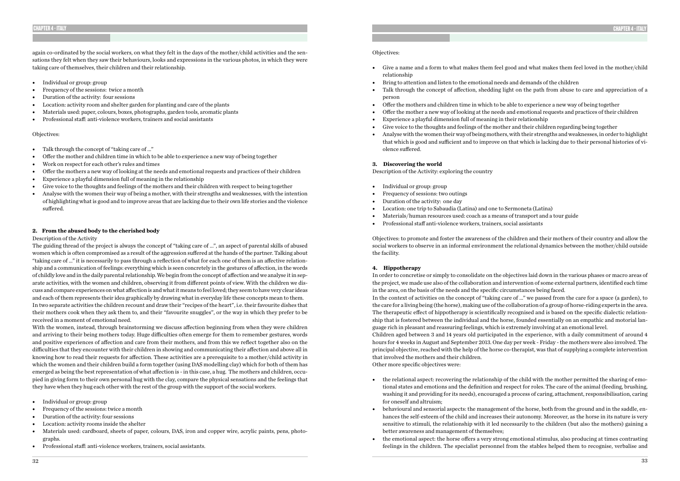again co-ordinated by the social workers, on what they felt in the days of the mother/child activities and the sensations they felt when they saw their behaviours, looks and expressions in the various photos, in which they were taking care of themselves, their children and their relationship.

- Individual or group: group
- Frequency of the sessions: twice a month
- Duration of the activity: four sessions
- Location: activity room and shelter garden for planting and care of the plants
- Materials used: paper, colours, boxes, photographs, garden tools, aromatic plants
- Professional staff: anti-violence workers, trainers and social assistants

### Objectives:

- Talk through the concept of "taking care of ..."
- Offer the mother and children time in which to be able to experience a new way of being together
- Work on respect for each other's rules and times
- Offer the mothers a new way of looking at the needs and emotional requests and practices of their children
- Experience a playful dimension full of meaning in the relationship
- Give voice to the thoughts and feelings of the mothers and their children with respect to being together
- Analyse with the women their way of being a mother, with their strengths and weaknesses, with the intention of highlighting what is good and to improve areas that are lacking due to their own life stories and the violence suffered.

### **2. From the abused body to the cherished body**

### Description of the Activity

- Individual or group: group
- Frequency of the sessions: twice a month
- Duration of the activity: four sessions
- Location: activity rooms inside the shelter
- Materials used: cardboard, sheets of paper, colours, DAS, iron and copper wire, acrylic paints, pens, photographs.
- Professional staff: anti-violence workers, trainers, social assistants.

The guiding thread of the project is always the concept of "taking care of ...", an aspect of parental skills of abused women which is often compromised as a result of the aggression suffered at the hands of the partner. Talking about "taking care of ..." it is necessarily to pass through a reflection of what for each one of them is an affective relationship and a communication of feelings: everything which is seen concretely in the gestures of affection, in the words of childly love and in the daily parental relationship. We begin from the concept of affection and we analyse it in separate activities, with the women and children, observing it from different points of view. With the children we discuss and compare experiences on what affection is and what it means to feel loved; they seem to have very clear ideas and each of them represents their idea graphically by drawing what in everyday life these concepts mean to them. In two separate activities the children recount and draw their "recipes of the heart", i.e. their favourite dishes that their mothers cook when they ask them to, and their "favourite snuggles", or the way in which they prefer to be received in a moment of emotional need.

With the women, instead, through brainstorming we discuss affection beginning from when they were children and arriving to their being mothers today. Huge difficulties often emerge for them to remember gestures, words and positive experiences of affection and care from their mothers, and from this we reflect together also on the difficulties that they encounter with their children in showing and communicating their affection and above all in knowing how to read their requests for affection. These activities are a prerequisite to a mother/child activity in which the women and their children build a form together (using DAS modelling clay) which for both of them has emerged as being the best representation of what affection is - in this case, a hug. The mothers and children, occupied in giving form to their own personal hug with the clay, compare the physical sensations and the feelings that they have when they hug each other with the rest of the group with the support of the social workers.

- the relational aspect: recovering the relationship of the child with the mother permitted the sharing of emofor oneself and altruism;
- better awareness and management of themselves;
- 

### Objectives:

• Give a name and a form to what makes them feel good and what makes them feel loved in the mother/child

• Talk through the concept of affection, shedding light on the path from abuse to care and appreciation of a

- relationship
- Bring to attention and listen to the emotional needs and demands of the children
- person
- Offer the mothers and children time in which to be able to experience a new way of being together
- Offer the mother a new way of looking at the needs and emotional requests and practices of their children
- Experience a playful dimension full of meaning in their relationship
- Give voice to the thoughts and feelings of the mother and their children regarding being together
- that which is good and sufficient and to improve on that which is lacking due to their personal histories of violence suffered.

• Analyse with the women their way of being mothers, with their strengths and weaknesses, in order to highlight

### **3. Discovering the world**

Description of the Activity: exploring the country

- Individual or group: group
- Frequency of sessions: two outings
- Duration of the activity: one day
- Location: one trip to Sabaudia (Latina) and one to Sermoneta (Latina)
- Materials/human resources used: coach as a means of transport and a tour guide
- Professional staff anti-violence workers, trainers, social assistants

Objectives: to promote and foster the awareness of the children and their mothers of their country and allow the social workers to observe in an informal environment the relational dynamics between the mother/child outside the facility.

### **4. Hippotherapy**

In order to concretise or simply to consolidate on the objectives laid down in the various phases or macro areas of the project, we made use also of the collaboration and intervention of some external partners, identified each time in the area, on the basis of the needs and the specific circumstances being faced. In the context of activities on the concept of "taking care of ..." we passed from the care for a space (a garden), to the care for a living being (the horse), making use of the collaboration of a group of horse-riding experts in the area. The therapeutic effect of hippotherapy is scientifically recognised and is based on the specific dialectic relationship that is fostered between the individual and the horse, founded essentially on an empathic and motorial language rich in pleasant and reassuring feelings, which is extremely involving at an emotional level. Children aged between 3 and 14 years old participated in the experience, with a daily commitment of around 4 hours for 4 weeks in August and September 2013. One day per week - Friday - the mothers were also involved. The principal objective, reached with the help of the horse co-therapist, was that of supplying a complete intervention that involved the mothers and their children. Other more specific objectives were:

tional states and emotions and the definition and respect for roles. The care of the animal (feeding, brushing, washing it and providing for its needs), encouraged a process of caring, attachment, responsibilisation, caring

• behavioural and sensorial aspects: the management of the horse, both from the ground and in the saddle, enhances the self-esteem of the child and increases their autonomy. Moreover, as the horse in its nature is very sensitive to stimuli, the relationship with it led necessarily to the children (but also the mothers) gaining a

• the emotional aspect: the horse offers a very strong emotional stimulus, also producing at times contrasting feelings in the children. The specialist personnel from the stables helped them to recognise, verbalise and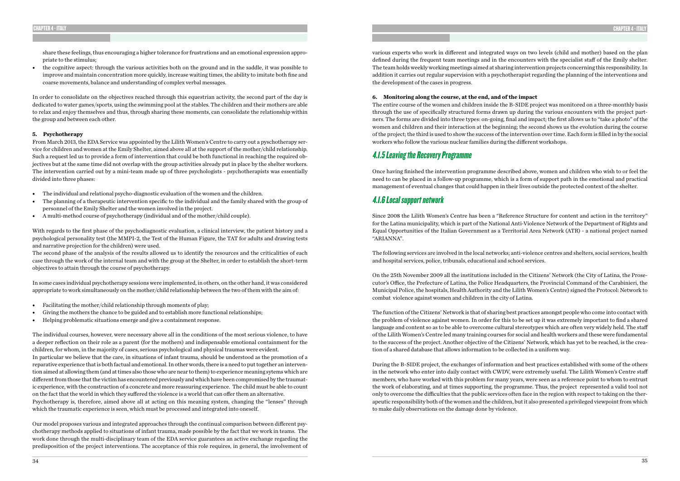share these feelings, thus encouraging a higher tolerance for frustrations and an emotional expression appropriate to the stimulus;

• the cognitive aspect: through the various activities both on the ground and in the saddle, it was possible to improve and maintain concentration more quickly, increase waiting times, the ability to imitate both fine and coarse movements, balance and understanding of complex verbal messages.

In order to consolidate on the objectives reached through this equestrian activity, the second part of the day is dedicated to water games/sports, using the swimming pool at the stables. The children and their mothers are able to relax and enjoy themselves and thus, through sharing these moments, can consolidate the relationship within the group and between each other.

### **5. Psychotherapy**

From March 2013, the EDA Service was appointed by the Lilith Women's Centre to carry out a pyschotherapy service for children and women at the Emily Shelter, aimed above all at the support of the mother/child relationship. Such a request led us to provide a form of intervention that could be both functional in reaching the required objectives but at the same time did not overlap with the group activities already put in place by the shelter workers. The intervention carried out by a mini-team made up of three psychologists - psychotherapists was essentially divided into three phases:

- The individual and relational psycho-diagnostic evaluation of the women and the children.
- The planning of a therapeutic intervention specific to the individual and the family shared with the group of personnel of the Emily Shelter and the women involved in the project.
- A multi-method course of psychotherapy (individual and of the mother/child couple).

With regards to the first phase of the psychodiagnostic evaluation, a clinical interview, the patient history and a psychological personality test (the MMPI-2, the Test of the Human Figure, the TAT for adults and drawing tests and narrative projection for the children) were used.

The second phase of the analysis of the results allowed us to identify the resources and the criticalities of each case through the work of the internal team and with the group at the Shelter, in order to establish the short-term objectives to attain through the course of psychotherapy.

In some cases individual psychotherapy sessions were implemented, in others, on the other hand, it was considered appropriate to work simultaneously on the mother/child relationship between the two of them with the aim of:

- Facilitating the mother/child relationship through moments of play;
- Giving the mothers the chance to be guided and to establish more functional relationships;
- Helping problematic situations emerge and give a containment response.

The individual courses, however, were necessary above all in the conditions of the most serious violence, to have a deeper reflection on their role as a parent (for the mothers) and indispensable emotional containment for the children, for whom, in the majority of cases, serious psychological and physical traumas were evident. In particular we believe that the care, in situations of infant trauma, should be understood as the promotion of a reparative experience that is both factual and emotional. In other words, there is a need to put together an intervention aimed at allowing them (and at times also those who are near to them) to experience meaning sytems which are different from those that the victim has encountered previously and which have been compromised by the traumatic experience, with the construction of a concrete and more reassuring experience. The child must be able to count on the fact that the world in which they suffered the violence is a world that can offer them an alternative. Psychotherapy is, therefore, aimed above all at acting on this meaning system, changing the "lenses" through which the traumatic experience is seen, which must be processed and integrated into oneself.

Our model proposes various and integrated approaches through the continual comparison between different psychotherapy methods applied to situations of infant trauma, made possible by the fact that we work in teams. The work done through the multi-disciplinary team of the EDA service guarantees an active exchange regarding the predisposition of the project interventions. The acceptance of this role requires, in general, the involvement of various experts who work in different and integrated ways on two levels (child and mother) based on the plan defined during the frequent team meetings and in the encounters with the specialist staff of the Emily shelter. The team holds weekly working meetings aimed at sharing intervention projects concerning this responsibility. In addition it carries out regular supervision with a psychotherapist regarding the planning of the interventions and the development of the cases in progress.

**6. Monitoring along the course, at the end, and of the impact**

The entire course of the women and children inside the B-SIDE project was monitored on a three-monthly basis through the use of specifically structured forms drawn up during the various encounters with the project partners. The forms are divided into three types: on-going, final and impact; the first allows us to "take a photo" of the women and children and their interaction at the beginning; the second shows us the evolution during the course of the project; the third is used to show the success of the intervention over time. Each form is filled in by the social workers who follow the various nuclear families during the different workshops.

### 4.1.5 Leaving the Recovery Programme

Once having finished the intervention programme described above, women and children who wish to or feel the need to can be placed in a follow-up programme, which is a form of support path in the emotional and practical management of eventual changes that could happen in their lives outside the protected context of the shelter.

### 4.1.6 Local support network

Since 2008 the Lilith Women's Centre has been a "Reference Structure for content and action in the territory" for the Latina municipality, which is part of the National Anti-Violence Network of the Department of Rights and Equal Opportunities of the Italian Government as a Territorial Area Network (ATR) - a national project named "ARIANNA".

The following services are involved in the local networks; anti-violence centres and shelters, social services, health and hospital services, police, tribunals, educational and school services.

On the 25th November 2009 all the institutions included in the Citizens' Network (the City of Latina, the Prosecutor's Office, the Prefecture of Latina, the Police Headquarters, the Provincial Command of the Carabinieri, the Municipal Police, the hospitals, Health Authority and the Lilith Women's Centre) signed the Protocol: Network to combat violence against women and children in the city of Latina.

The function of the Citizens' Network is that of sharing best practices amongst people who come into contact with the problem of violence against women. In order for this to be set up it was extremely important to find a shared language and content so as to be able to overcome cultural stereotypes which are often very widely held. The staff of the Lilith Women's Centre led many training courses for social and health workers and these were fundamental to the success of the project. Another objective of the Citizens' Network, which has yet to be reached, is the creation of a shared database that allows information to be collected in a uniform way.

During the B-SIDE project, the exchanges of information and best practices established with some of the others in the network who enter into daily contact with CWDV, were extremely useful. The Lilith Women's Centre staff members, who have worked with this problem for many years, were seen as a reference point to whom to entrust the work of elaborating, and at times supporting, the programme. Thus, the project represented a valid tool not only to overcome the difficulties that the public services often face in the region with respect to taking on the therapeutic responsibility both of the women and the children, but it also presented a privileged viewpoint from which to make daily observations on the damage done by violence.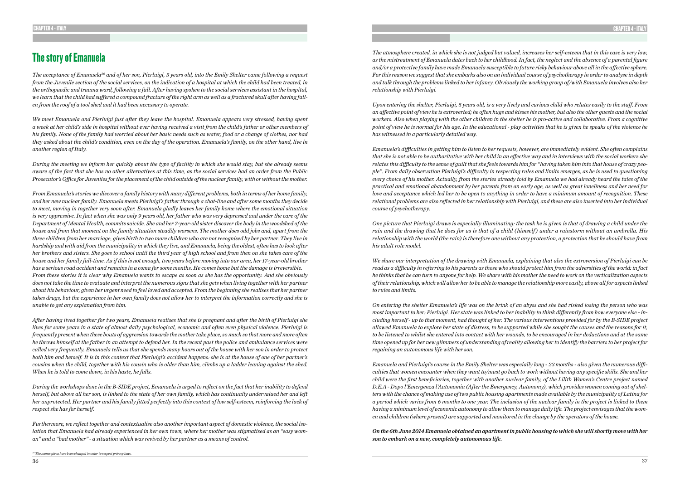# The story of Emanuela

*The acceptance of Emanuela30 and of her son, Pierluigi, 5 years old, into the Emily Shelter came following a request from the Juvenile section of the social services, on the indication of a hospital at which the child had been treated, in the orthopaedic and trauma ward, following a fall. After having spoken to the social services assistant in the hospital, we learn that the child had suffered a compound fracture of the right arm as well as a fractured skull after having fallen from the roof of a tool shed and it had been necessary to operate.* 

*We meet Emanuela and Pierluigi just after they leave the hospital. Emanuela appears very stressed, having spent a week at her child's side in hospital without ever having received a visit from the child's father or other members of his family. None of the family had worried about her basic needs such as water, food or a change of clothes, nor had they asked about the child's condition, even on the day of the operation. Emanuela's family, on the other hand, live in another region of Italy.* 

*During the meeting we inform her quickly about the type of facility in which she would stay, but she already seems aware of the fact that she has no other alternatives at this time, as the social services had an order from the Public Prosecutor's Office for Juveniles for the placement of the child outside of the nuclear family, with or without the mother.* 

*From Emanuela's stories we discover a family history with many different problems, both in terms of her home family, and her new nuclear family. Emanuela meets Pierluigi's father through a chat-line and after some months they decide to meet, moving in together very soon after. Emanuela gladly leaves her family home where the emotional situation is very oppressive. In fact when she was only 9 years old, her father who was very depressed and under the care of the Department of Mental Health, commits suicide. She and her 7-year-old sister discover the body in the woodshed of the house and from that moment on the family situation steadily worsens. The mother does odd jobs and, apart from the three children from her marriage, gives birth to two more children who are not recognised by her partner. They live in hardship and with aid from the municipality in which they live, and Emanuela, being the oldest, often has to look after her brothers and sisters. She goes to school until the third year of high school and from then on she takes care of the house and her family full-time. As if this is not enough, two years before moving into our area, her 17-year-old brother has a serious road accident and remains in a coma for some months. He comes home but the damage is irreversible. From these stories it is clear why Emanuela wants to escape as soon as she has the opportunity. And she obviously does not take the time to evaluate and interpret the numerous signs that she gets when living together with her partner about his behaviour, given her urgent need to feel loved and accepted. From the beginning she realises that her partner takes drugs, but the experience in her own family does not allow her to interpret the information correctly and she is unable to get any explanation from him.* 

*After having lived together for two years, Emanuela realises that she is pregnant and after the birth of Pierluigi she lives for some years in a state of almost daily psychological, economic and often even physical violence. Pierluigi is frequently present when these bouts of aggression towards the mother take place, so much so that more and more often he throws himself at the father in an attempt to defend her. In the recent past the police and ambulance services were called very frequently. Emanuela tells us that she spends many hours out of the house with her son in order to protect both him and herself. It is in this context that Pierluigi's accident happens: she is at the house of one of her partner's cousins when the child, together with his cousin who is older than him, climbs up a ladder leaning against the shed. When he is told to come down, in his haste, he falls.* 

*During the workshops done in the B-SIDE project, Emanuela is urged to reflect on the fact that her inability to defend herself, but above all her son, is linked to the state of her own family, which has continually undervalued her and left her unprotected. Her partner and his family fitted perfectly into this context of low self-esteem, reinforcing the lack of respect she has for herself.* 

*Furthermore, we reflect together and contextualise also another important aspect of domestic violence, the social isolation that Emanuela had already experienced in her own town, where her mother was stigmatised as an "easy woman" and a "bad mother" - a situation which was revived by her partner as a means of control.* 

*The atmosphere created, in which she is not judged but valued, increases her self-esteem that in this case is very low, as the mistreatment of Emanuela dates back to her childhood. In fact, the neglect and the absence of a parental figure and/or a protective family have made Emanuela susceptible to future risky behaviour above all in the affective sphere. For this reason we suggest that she embarks also on an individual course of psychotherapy in order to analyse in depth and talk through the problems linked to her infancy. Obviously the working group of/with Emanuela involves also her relationship with Pierluigi.* 

*Upon entering the shelter, Pierluigi, 5 years old, is a very lively and curious child who relates easily to the staff. From an affective point of view he is extroverted; he often hugs and kisses his mother, but also the other guests and the social workers. Also when playing with the other children in the shelter he is pro-active and collaborative. From a cognitive point of view he is normal for his age. In the educational - play activities that he is given he speaks of the violence he has witnessed in a particularly detailed way.* 

*Emanuela's difficulties in getting him to listen to her requests, however, are immediately evident. She often complains that she is not able to be authoritative with her child in an effective way and in interviews with the social workers she relates this difficulty to the sense of guilt that she feels towards him for "having taken him into that house of crazy people". From daily observation Pierluigi's difficulty in respecting rules and limits emerges, as he is used to questioning every choice of his mother. Actually, from the stories already told by Emanuela we had already heard the tales of the practical and emotional abandonment by her parents from an early age, as well as great loneliness and her need for love and acceptance which led her to be open to anything in order to have a minimum amount of recognition. These relational problems are also reflected in her relationship with Pierluigi, and these are also inserted into her individual course of psychotherapy.* 

*One picture that Pierluigi draws is especially illuminating: the task he is given is that of drawing a child under the rain and the drawing that he does for us is that of a child ( himself ) under a rainstorm without an umbrella. His relationship with the world (the rain) is therefore one without any protection, a protection that he should have from his adult role model.* 

*We share our interpretation of the drawing with Emanuela, explaining that also the extroversion of Pierluigi can be read as a difficulty in referring to his parents as those who should protect him from the adversities of the world: in fact he thinks that he can turn to anyone for help. We share with his mother the need to work on the verticalization aspects of their relationship, which will allow her to be able to manage the relationship more easily, above all for aspects linked to rules and limits.* 

*On entering the shelter Emanuela's life was on the brink of an abyss and she had risked losing the person who was most important to her: Pierluigi. Her state was linked to her inability to think differently from how everyone else - including herself - up to that moment, had thought of her. The various interventions provided for by the B-SIDE project allowed Emanuela to explore her state of distress, to be supported while she sought the causes and the reasons for it, to be listened to whilst she entered into contact with her wounds, to be encouraged in her deductions and at the same time opened up for her new glimmers of understanding of reality allowing her to identify the barriers to her project for regaining an autonomous life with her son.* 

*Emanuela and Pierluigi's course in the Emily Shelter was especially long - 23 months - also given the numerous difficulties that women encounter when they want to/must go back to work without having any specific skills. She and her child were the first beneficiaries, together with another nuclear family, of the Lilith Women's Centre project named D.E.A - Dopo l'Emergenza l'Autonomia (After the Emergency, Autonomy), which provides women coming out of shelters with the chance of making use of two public housing apartments made available by the municipality of Latina for a period which varies from 6 months to one year. The inclusion of the nuclear family in the project is linked to them having a minimum level of economic autonomy to allow them to manage daily life. The project envisages that the women and children (where present) are supported and monitored in the change by the operators of the house.* 

*On the 6th June 2014 Emanuela obtained an apartment in public housing to which she will shortly move with her son to embark on a new, completely autonomous life.* 

*30 The names given have been changed in order to respect privacy laws.*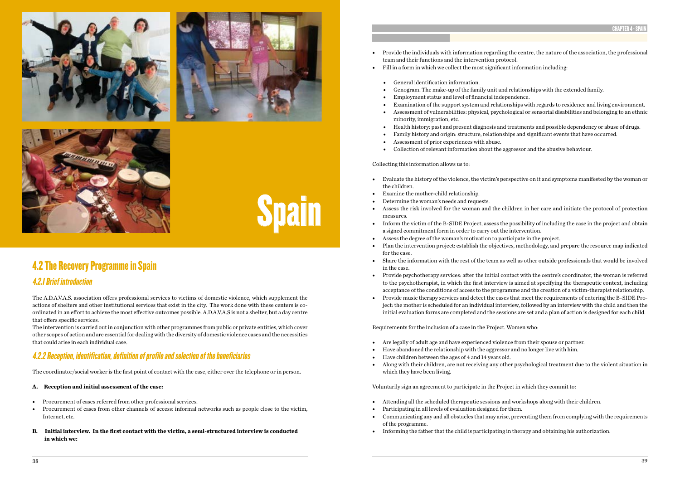



Spain



# 4.2 The Recovery Programme in Spain

### 4.2.1 Brief introduction

The A.D.A.V.A.S. association offers professional services to victims of domestic violence, which supplement the actions of shelters and other institutional services that exist in the city. The work done with these centers is coordinated in an effort to achieve the most effective outcomes possible. A.D.A.V.A.S is not a shelter, but a day centre that offers specific services.

The intervention is carried out in conjunction with other programmes from public or private entities, which cover other scopes of action and are essential for dealing with the diversity of domestic violence cases and the necessities that could arise in each individual case.

### 4.2.2 Reception, identification, definition of profile and selection of the beneficiaries

The coordinator/social worker is the first point of contact with the case, either over the telephone or in person.

### **A. Reception and initial assessment of the case:**

- Procurement of cases referred from other professional services.
- Procurement of cases from other channels of access: informal networks such as people close to the victim, Internet, etc.
- **B. Initial interview. In the first contact with the victim, a semi-structured interview is conducted in which we:**

• Provide the individuals with information regarding the centre, the nature of the association, the professional

• Examination of the support system and relationships with regards to residence and living environment. • Assessment of vulnerabilities: physical, psychological or sensorial disabilities and belonging to an ethnic

- team and their functions and the intervention protocol.
- Fill in a form in which we collect the most significant information including:
	- General identification information.
	- Genogram. The make-up of the family unit and relationships with the extended family.
	- Employment status and level of financial independence.
	-
	- minority, immigration, etc.
	-
	-
	- Assessment of prior experiences with abuse.
	- Collection of relevant information about the aggressor and the abusive behaviour.

• Health history: past and present diagnosis and treatments and possible dependency or abuse of drugs. • Family history and origin: structure, relationships and significant events that have occurred.

Collecting this information allows us to:

• Assess the risk involved for the woman and the children in her care and initiate the protocol of protection

• Inform the victim of the B-SIDE Project, assess the possibility of including the case in the project and obtain

• Plan the intervention project: establish the objectives, methodology, and prepare the resource map indicated

- Evaluate the history of the violence, the victim's perspective on it and symptoms manifested by the woman or the children.
- Examine the mother-child relationship.
- Determine the woman's needs and requests.
- measures.
- a signed commitment form in order to carry out the intervention.
- Assess the degree of the woman's motivation to participate in the project.
- for the case.
- in the case.
- acceptance of the conditions of access to the programme and the creation of a victim-therapist relationship.
- initial evaluation forms are completed and the sessions are set and a plan of action is designed for each child.

• Share the information with the rest of the team as well as other outside professionals that would be involved

• Provide psychotherapy services: after the initial contact with the centre's coordinator, the woman is referred to the psychotherapist, in which the first interview is aimed at specifying the therapeutic context, including • Provide music therapy services and detect the cases that meet the requirements of entering the B-SIDE Project: the mother is scheduled for an individual interview, followed by an interview with the child and then the

Requirements for the inclusion of a case in the Project. Women who:

- Are legally of adult age and have experienced violence from their spouse or partner.
- Have abandoned the relationship with the aggressor and no longer live with him.
- Have children between the ages of 4 and 14 years old.
- which they have been living.

• Along with their children, are not receiving any other psychological treatment due to the violent situation in

Voluntarily sign an agreement to participate in the Project in which they commit to:

- Attending all the scheduled therapeutic sessions and workshops along with their children.
- Participating in all levels of evaluation designed for them. • Communicating any and all obstacles that may arise, preventing them from complying with the requirements of the programme.
- Informing the father that the child is participating in therapy and obtaining his authorization.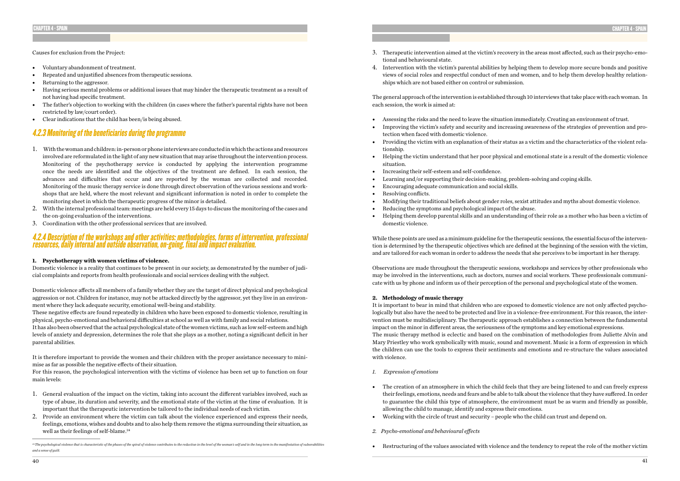### Causes for exclusion from the Project:

- Voluntary abandonment of treatment.
- Repeated and unjustified absences from therapeutic sessions.
- Returning to the aggressor.
- Having serious mental problems or additional issues that may hinder the therapeutic treatment as a result of not having had specific treatment.
- The father's objection to working with the children (in cases where the father's parental rights have not been restricted by law/court order).
- Clear indications that the child has been/is being abused.

### 4.2.3 Monitoring of the beneficiaries during the programme

- 1. With the woman and children: in-person or phone interviews are conducted in which the actions and resources involved are reformulated in the light of any new situation that may arise throughout the intervention process. Monitoring of the psychotherapy service is conducted by applying the intervention programme once the needs are identified and the objectives of the treatment are defined. In each session, the advances and difficulties that occur and are reported by the woman are collected and recorded. Monitoring of the music therapy service is done through direct observation of the various sessions and workshops that are held, where the most relevant and significant information is noted in order to complete the monitoring sheet in which the therapeutic progress of the minor is detailed.
- 2. With the internal professional team: meetings are held every 15 days to discuss the monitoring of the cases and the on-going evaluation of the interventions.
- 3. Coordination with the other professional services that are involved.

- 1. General evaluation of the impact on the victim, taking into account the different variables involved, such as type of abuse, its duration and severity, and the emotional state of the victim at the time of evaluation. It is important that the therapeutic intervention be tailored to the individual needs of each victim.
- 2. Provide an environment where the victim can talk about the violence experienced and express their needs, feelings, emotions, wishes and doubts and to also help them remove the stigma surrounding their situation, as well as their feelings of self-blame.<sup>24</sup>

### 4.2.4 Description of the workshops and other activities: methodologies, forms of intervention, professional resources, daily internal and outside observation, on-going, final and impact evaluation.

### **1. Psychotherapy with women victims of violence.**

Domestic violence is a reality that continues to be present in our society, as demonstrated by the number of judicial complaints and reports from health professionals and social services dealing with the subject.

Domestic violence affects all members of a family whether they are the target of direct physical and psychological aggression or not. Children for instance, may not be attacked directly by the aggressor, yet they live in an environment where they lack adequate security, emotional well-being and stability.

These negative effects are found repeatedly in children who have been exposed to domestic violence, resulting in physical, psycho-emotional and behavioral difficulties at school as well as with family and social relations.

It has also been observed that the actual psychological state of the women victims, such as low self-esteem and high levels of anxiety and depression, determines the role that she plays as a mother, noting a significant deficit in her parental abilities.

It is therefore important to provide the women and their children with the proper assistance necessary to minimise as far as possible the negative effects of their situation.

For this reason, the psychological intervention with the victims of violence has been set up to function on four main levels:

- 3. Therapeutic intervention aimed at the victim's recovery in the areas most affected, such as their psycho-emotional and behavioural state.
- 4. Intervention with the victim's parental abilities by helping them to develop more secure bonds and positive ships which are not based either on control or submission.

views of social roles and respectful conduct of men and women, and to help them develop healthy relation-

The general approach of the intervention is established through 10 interviews that take place with each woman. In each session, the work is aimed at:

• Improving the victim's safety and security and increasing awareness of the strategies of prevention and pro-

• Providing the victim with an explanation of their status as a victim and the characteristics of the violent rela-

• Helping the victim understand that her poor physical and emotional state is a result of the domestic violence

- Assessing the risks and the need to leave the situation immediately. Creating an environment of trust.
- tection when faced with domestic violence.
- tionship.
- situation.
- Increasing their self-esteem and self-confidence.
- Learning and/or supporting their decision-making, problem-solving and coping skills.
- Encouraging adequate communication and social skills.
- Resolving conflicts.
- Modifying their traditional beliefs about gender roles, sexist attitudes and myths about domestic violence.
- Reducing the symptoms and psychological impact of the abuse.
- domestic violence.

• Helping them develop parental skills and an understanding of their role as a mother who has been a victim of

While these points are used as a minimum guideline for the therapeutic sessions, the essential focus of the intervention is determined by the therapeutic objectives which are defined at the beginning of the session with the victim, and are tailored for each woman in order to address the needs that she perceives to be important in her therapy.

Observations are made throughout the therapeutic sessions, workshops and services by other professionals who may be involved in the interventions, such as doctors, nurses and social workers. These professionals communicate with us by phone and inform us of their perception of the personal and psychological state of the women.

### **2. Methodology of music therapy**

It is important to bear in mind that children who are exposed to domestic violence are not only affected psychologically but also have the need to be protected and live in a violence-free environment. For this reason, the intervention must be multidisciplinary. The therapeutic approach establishes a connection between the fundamental impact on the minor in different areas, the seriousness of the symptoms and key emotional expressions. The music therapy method is eclectic and based on the combination of methodologies from Juliette Alvín and Mary Priestley who work symbolically with music, sound and movement. Music is a form of expression in which the children can use the tools to express their sentiments and emotions and re-structure the values associated with violence.

their feelings, emotions, needs and fears and be able to talk about the violence that they have suffered. In order to guarantee the child this type of atmosphere, the environment must be as warm and friendly as possible,

- *1. Expression of emotions*
- The creation of an atmosphere in which the child feels that they are being listened to and can freely express allowing the child to manage, identify and express their emotions.
- Working with the circle of trust and security people who the child can trust and depend on.
- *2. Psycho-emotional and behavioural effects*
- Restructuring of the values associated with violence and the tendency to repeat the role of the mother victim

*<sup>24</sup> The psychological violence that is characteristic of the phases of the spiral of violence contributes to the reduction in the level of the woman's self and in the long term to the manifestation of vulnerabilities and a sense of guilt.*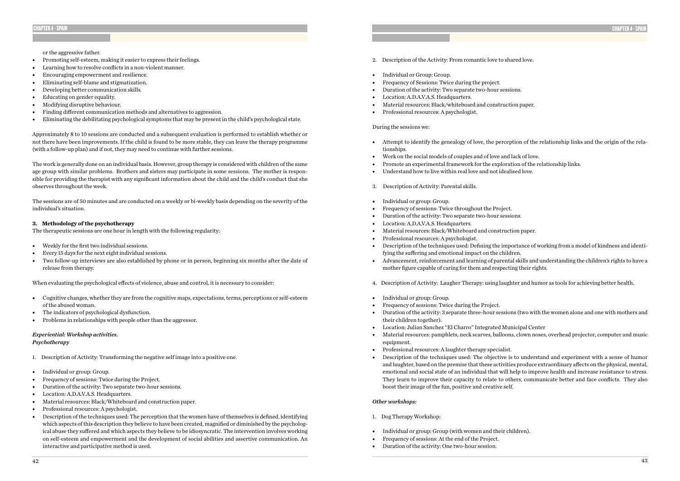or the aggressive father.

- Promoting self-esteem, making it easier to express their feelings.
- Learning how to resolve conflicts in a non-violent manner.
- Encouraging empowerment and resilience.
- Eliminating self-blame and stigmatization.
- Developing better communication skills.
- Educating on gender equality.
- Modifying disruptive behaviour.
- Finding different communication methods and alternatives to aggression.
- Eliminating the debilitating psychological symptoms that may be present in the child's psychological state.

Approximately 8 to 10 sessions are conducted and a subsequent evaluation is performed to establish whether or not there have been improvements. If the child is found to be more stable, they can leave the therapy programme (with a follow-up plan) and if not, they may need to continue with further sessions.

The work is generally done on an individual basis. However, group therapy is considered with children of the same age group with similar problems. Brothers and sisters may participate in some sessions. The mother is responsible for providing the therapist with any significant information about the child and the child's conduct that she observes throughout the week.

The sessions are of 50 minutes and are conducted on a weekly or bi-weekly basis depending on the severity of the individual's situation.

### **3. Methodology of the psychotherapy**

The therapeutic sessions are one hour in length with the following regularity:

- Weekly for the first two individual sessions.
- Every 15 days for the next eight individual sessions.
- Two follow-up interviews are also established by phone or in person, beginning six months after the date of release from therapy.
- 2. Description of the Activity: From romantic love to shared love.
- Individual or Group: Group.
- Frequency of Sessions: Twice during the project.
- Duration of the activity: Two separate two-hour sessions.
- Location: A.D.A.V.A.S. Headquarters.
- Material resources: Black/whiteboard and construction paper.
- Professional resources: A psychologist.

When evaluating the psychological effects of violence, abuse and control, it is necessary to consider:

- Cognitive changes, whether they are from the cognitive maps, expectations, terms, perceptions or self-esteem of the abused woman.
- The indicators of psychological dysfunction.
- Problems in relationships with people other than the aggressor.

### *Experiential: Workshop activities. Psychotherapy*

- 1. Description of Activity: Transforming the negative self image into a positive one.
- Individual or group: Group.
- Frequency of sessions: Twice during the Project.
- Duration of the activity: Two separate two-hour sessions.
- Location: A.D.A.V.A.S. Headquarters.
- Material resources: Black/Whiteboard and construction paper.
- Professional resources: A psychologist.
- Description of the techniques used: The perception that the women have of themselves is defined, identifying which aspects of this description they believe to have been created, magnified or diminished by the psychological abuse they suffered and which aspects they believe to be idiosyncratic. The intervention involves working on self-esteem and empowerment and the development of social abilities and assertive communication. An interactive and participative method is used.

### During the sessions we:

• Attempt to identify the genealogy of love, the perception of the relationship links and the origin of the rela-

• Description of the techniques used: Defining the importance of working from a model of kindness and identi-

• Advancement, reinforcement and learning of parental skills and understanding the children's rights to have a

- tionships.
- Work on the social models of couples and of love and lack of love.
- Promote an experimental framework for the exploration of the relationship links.
- Understand how to live within real love and not idealised love.
- 3. Description of Activity: Parental skills.
- Individual or group: Group.
- Frequency of sessions: Twice throughout the Project.
- Duration of the activity: Two separate two-hour sessions.
- Location: A.D.A.V.A.S. Headquarters.
- Material resources: Black/Whiteboard and construction paper.
- Professional resources: A psychologist.
- fying the suffering and emotional impact on the children.
- mother figure capable of caring for them and respecting their rights.
- 4. Description of Activity: Laugher Therapy: using laughter and humor as tools for achieving better health.
- Individual or group: Group.
- Frequency of sessions: Twice during the Project.
- their children together).
- Location: Julian Sanchez "El Charro" Integrated Municipal Center
- Material resources: pamphlets, neck scarves, balloons, clown noses, overhead projector, computer and music equipment.
- Professional resources: A laughter therapy specialist.
- boost their image of the fun, positive and creative self.

• Duration of the activity: 3 separate three-hour sessions (two with the women alone and one with mothers and

• Description of the techniques used: The objective is to understand and experiment with a sense of humor and laughter, based on the premise that these activities produce extraordinary affects on the physical, mental, emotional and social state of an individual that will help to improve health and increase resistance to stress. They learn to improve their capacity to relate to others, communicate better and face conflicts. They also

### *Other workshops:*

- 1. Dog Therapy Workshop:
- Individual or group: Group (with women and their children).
- Frequency of sessions: At the end of the Project.
- Duration of the activity: One two-hour session.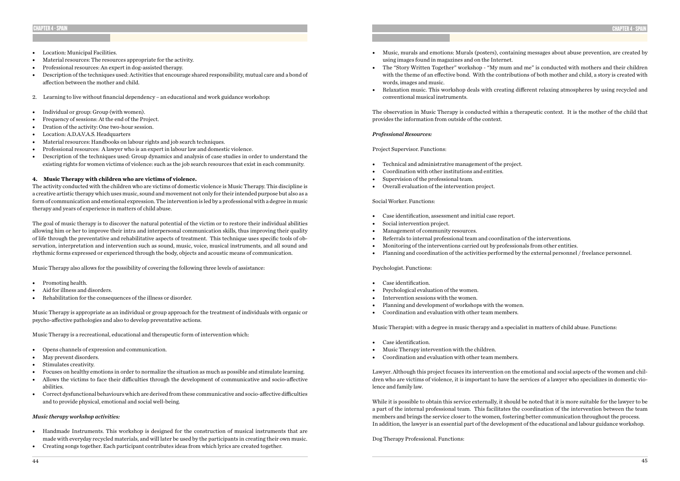- Location: Municipal Facilities.
- Material resources: The resources appropriate for the activity.
- Professional resources: An expert in dog-assisted therapy.
- Description of the techniques used: Activities that encourage shared responsibility, mutual care and a bond of affection between the mother and child.
- 2. Learning to live without financial dependency an educational and work guidance workshop:
- Individual or group: Group (with women).
- Frequency of sessions: At the end of the Project.
- Dration of the activity: One two-hour session.
- Location: A.D.A.V.A.S. Headquarters
- Material resources: Handbooks on labour rights and job search techniques.
- Professional resources: A lawyer who is an expert in labour law and domestic violence.
- Description of the techniques used: Group dynamics and analysis of case studies in order to understand the existing rights for women victims of violence: such as the job search resources that exist in each community.

### **4. Music Therapy with children who are victims of violence.**

The activity conducted with the children who are victims of domestic violence is Music Therapy. This discipline is a creative artistic therapy which uses music, sound and movement not only for their intended purpose but also as a form of communication and emotional expression. The intervention is led by a professional with a degree in music therapy and years of experience in matters of child abuse.

The goal of music therapy is to discover the natural potential of the victim or to restore their individual abilities allowing him or her to improve their intra and interpersonal communication skills, thus improving their quality of life through the preventative and rehabilitative aspects of treatment. This technique uses specific tools of observation, interpretation and intervention such as sound, music, voice, musical instruments, and all sound and rhythmic forms expressed or experienced through the body, objects and acoustic means of communication.

• The "Story Written Together" workshop - "My mum and me" is conducted with mothers and their children with the theme of an effective bond. With the contributions of both mother and child, a story is created with

Music Therapy also allows for the possibility of covering the following three levels of assistance:

- Promoting health.
- Aid for illness and disorders.
- Rehabilitation for the consequences of the illness or disorder.

Music Therapy is appropriate as an individual or group approach for the treatment of individuals with organic or psycho-affective pathologies and also to develop preventative actions.

Music Therapy is a recreational, educational and therapeutic form of intervention which:

- Opens channels of expression and communication.
- May prevent disorders.
- Stimulates creativity.
- Focuses on healthy emotions in order to normalize the situation as much as possible and stimulate learning.
- Allows the victims to face their difficulties through the development of communicative and socio-affective abilities.
- Correct dysfunctional behaviours which are derived from these communicative and socio-affective difficulties and to provide physical, emotional and social well-being.

### *Music therapy workshop activities:*

- Handmade Instruments. This workshop is designed for the construction of musical instruments that are made with everyday recycled materials, and will later be used by the participants in creating their own music.
- Creating songs together. Each participant contributes ideas from which lyrics are created together.

### CHAPTER 4 - SPAIN

- Music, murals and emotions: Murals (posters), containing messages about abuse prevention, are created by using images found in magazines and on the Internet.
- words, images and music.
- conventional musical instruments.

• Relaxation music. This workshop deals with creating different relaxing atmospheres by using recycled and

The observation in Music Therapy is conducted within a therapeutic context. It is the mother of the child that provides the information from outside of the context.

### *Professional Resources:*

Project Supervisor. Functions:

- Technical and administrative management of the project.
- Coordination with other institutions and entities.
- Supervision of the professional team.
- Overall evaluation of the intervention project.

### Social Worker. Functions:

- Case identification, assessment and initial case report.
- Social intervention project.
- Management of community resources.
- Referrals to internal professional team and coordination of the interventions.
- Monitoring of the interventions carried out by professionals from other entities.
- Planning and coordination of the activities performed by the external personnel / freelance personnel.

### Psychologist. Functions:

- Case identification.
- Psychological evaluation of the women.
- Intervention sessions with the women.
- Planning and development of workshops with the women.
- Coordination and evaluation with other team members.

Music Therapist: with a degree in music therapy and a specialist in matters of child abuse. Functions:

- Case identification.
- Music Therapy intervention with the children.
- Coordination and evaluation with other team members.

Lawyer. Although this project focuses its intervention on the emotional and social aspects of the women and children who are victims of violence, it is important to have the services of a lawyer who specializes in domestic violence and family law.

While it is possible to obtain this service externally, it should be noted that it is more suitable for the lawyer to be a part of the internal professional team. This facilitates the coordination of the intervention between the team members and brings the service closer to the women, fostering better communication throughout the process. In addition, the lawyer is an essential part of the development of the educational and labour guidance workshop.

Dog Therapy Professional. Functions: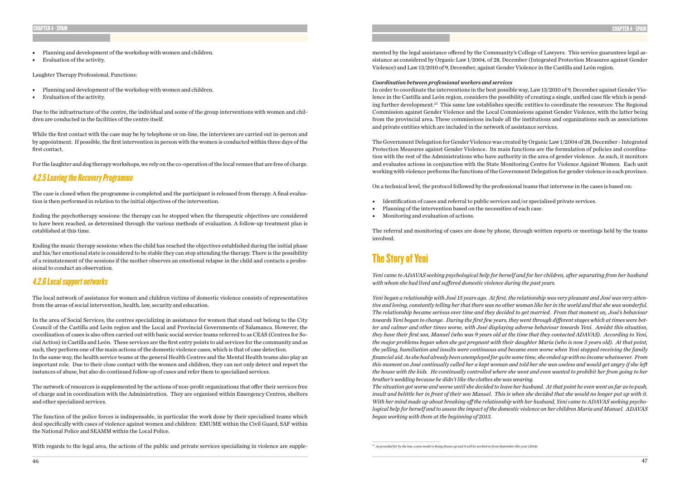- Planning and development of the workshop with women and children.
- Evaluation of the activity.

Laughter Therapy Professional. Functions:

- Planning and development of the workshop with women and children.
- Evaluation of the activity.

Due to the infrastructure of the centre, the individual and some of the group interventions with women and children are conducted in the facilities of the centre itself.

While the first contact with the case may be by telephone or on-line, the interviews are carried out in-person and by appointment. If possible, the first intervention in person with the women is conducted within three days of the first contact.

For the laughter and dog therapy workshops, we rely on the co-operation of the local venues that are free of charge.

### 4.2.5 Leaving the Recovery Programme

The case is closed when the programme is completed and the participant is released from therapy. A final evaluation is then performed in relation to the initial objectives of the intervention.

Ending the psychotherapy sessions: the therapy can be stopped when the therapeutic objectives are considered to have been reached, as determined through the various methods of evaluation. A follow-up treatment plan is established at this time.

Ending the music therapy sessions: when the child has reached the objectives established during the initial phase and his/her emotional state is considered to be stable they can stop attending the therapy. There is the possibility of a reinstatement of the sessions if the mother observes an emotional relapse in the child and contacts a professional to conduct an observation.

### 4.2.6 Local support networks

The local network of assistance for women and children victims of domestic violence consists of representatives from the areas of social intervention, health, law, security and education.

In the area of Social Services, the centres specializing in assistance for women that stand out belong to the City Council of the Castilla and León region and the Local and Provincial Governments of Salamanca. However, the coordination of cases is also often carried out with basic social service teams referred to as CEAS (Centres for Social Action) in Castilla and León. These services are the first entry points to aid services for the community and as such, they perform one of the main actions of the domestic violence cases, which is that of case detection. In the same way, the health service teams at the general Health Centres and the Mental Health teams also play an important role. Due to their close contact with the women and children, they can not only detect and report the instances of abuse, but also do continued follow-up of cases and refer them to specialized services.

The network of resources is supplemented by the actions of non-profit organizations that offer their services free of charge and in coordination with the Administration. They are organised within Emergency Centres, shelters and other specialized services.

The function of the police forces is indispensable, in particular the work done by their specialised teams which deal specifically with cases of violence against women and children: EMUME within the Civil Guard, SAF within the National Police and SEAMM within the Local Police.

With regards to the legal area, the actions of the public and private services specialising in violence are supple-

### CHAPTER 4 - SPAIN

mented by the legal assistance offered by the Community's College of Lawyers. This service guarantees legal assistance as considered by Organic Law 1/2004, of 28, December (Integrated Protection Measures against Gender Violence) and Law 13/2010 of 9, December, against Gender Violence in the Castilla and León region.

*Coordination between professional workers and services* In order to coordinate the interventions in the best possible way, Law 13/2010 of 9, December against Gender Violence in the Castilla and León region, considers the possibility of creating a single, unified case file which is pending further development.25 This same law establishes specific entities to coordinate the resources: The Regional Commission against Gender Violence and the Local Commissions against Gender Violence, with the latter being from the provincial area. These commissions include all the institutions and organizations such as associations and private entities which are included in the network of assistance services.

The Government Delegation for Gender Violence was created by Organic Law 1/2004 of 28, December - Integrated Protection Measures against Gender Violence. Its main functions are the formulation of policies and coordination with the rest of the Administrations who have authority in the area of gender violence. As such, it monitors and evaluates actions in conjunction with the State Monitoring Centre for Violence Against Women. Each unit working with violence performs the functions of the Government Delegation for gender violence in each province.

On a technical level, the protocol followed by the professional teams that intervene in the cases is based on:

- Identification of cases and referral to public services and/or specialised private services.
- Planning of the intervention based on the necessities of each case.
- Monitoring and evaluation of actions.

The referral and monitoring of cases are done by phone, through written reports or meetings held by the teams involved.

## The Story of Yeni

*Yeni came to ADAVAS seeking psychological help for herself and for her children, after separating from her husband with whom she had lived and suffered domestic violence during the past years.*

*Yeni began a relationship with José 15 years ago. At first, the relationship was very pleasant and José was very attentive and loving, constantly telling her that there was no other woman like her in the world and that she was wonderful. The relationship became serious over time and they decided to get married. From that moment on, José's behaviour towards Yeni began to change. During the first few years, they went through different stages which at times were better and calmer and other times worse, with José displaying adverse behaviour towards Yeni. Amidst this situation, they have their first son, Manuel (who was 9 years old at the time that they contacted ADAVAS). According to Yeni, the major problems began when she got pregnant with their daughter Maria (who is now 5 years old). At that point, the yelling, humiliation and insults were continuous and became even worse when Yeni stopped receiving the family financial aid. As she had already been unemployed for quite some time, she ended up with no income whatsoever. From this moment on José continually called her a kept woman and told her she was useless and would get angry if she left the house with the kids. He continually controlled where she went and even wanted to prohibit her from going to her brother's wedding because he didn't like the clothes she was wearing. The situation got worse and worse until she decided to leave her husband. At that point he even went as far as to push, insult and belittle her in front of their son Manuel. This is when she decided that she would no longer put up with it. With her mind made up about breaking off the relationship with her husband, Yeni came to ADAVAS seeking psychological help for herself and to assess the impact of the domestic violence on her children Maria and Manuel. ADAVAS began working with them at the beginning of 2013.*

*25 As provided for by the law, a new model is being drawn up and it will be worked on from September this year (2014)*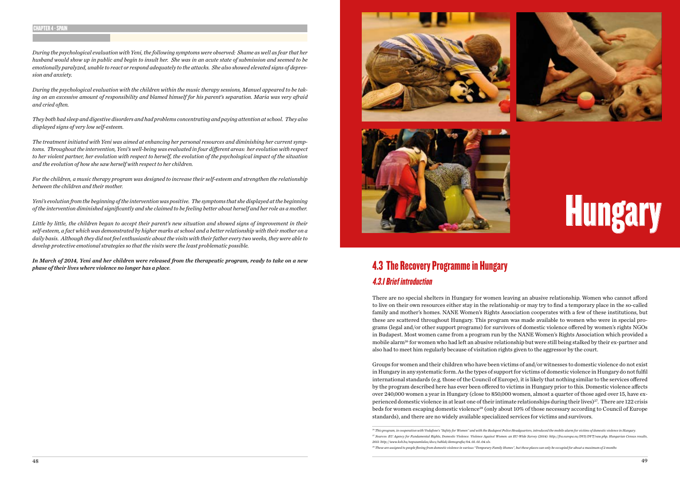# **Hungary**

# 4.3 The Recovery Programme in Hungary 4.3.1 Brief introduction

There are no special shelters in Hungary for women leaving an abusive relationship. Women who cannot afford to live on their own resources either stay in the relationship or may try to find a temporary place in the so-called family and mother's homes. NANE Women's Rights Association cooperates with a few of these institutions, but these are scattered throughout Hungary. This program was made available to women who were in special programs (legal and/or other support programs) for survivors of domestic violence offered by women's rights NGOs in Budapest. Most women came from a program run by the NANE Women's Rights Association which provided a mobile alarm<sup>26</sup> for women who had left an abusive relationship but were still being stalked by their ex-partner and also had to meet him regularly because of visitation rights given to the aggressor by the court.

Groups for women and their children who have been victims of and/or witnesses to domestic violence do not exist in Hungary in any systematic form. As the types of support for victims of domestic violence in Hungary do not fulfil international standards (e.g. those of the Council of Europe), it is likely that nothing similar to the services offered by the program described here has ever been offered to victims in Hungary prior to this. Domestic violence affects over 240,000 women a year in Hungary (close to 850,000 women, almost a quarter of those aged over 15, have experienced domestic violence in at least one of their intimate relationships during their lives)<sup>27</sup>. There are 122 crisis beds for women escaping domestic violence<sup>28</sup> (only about 10% of those necessary according to Council of Europe standards), and there are no widely available specialized services for victims and survivors.

*During the psychological evaluation with Yeni, the following symptoms were observed: Shame as well as fear that her husband would show up in public and begin to insult her. She was in an acute state of submission and seemed to be emotionally paralyzed, unable to react or respond adequately to the attacks. She also showed elevated signs of depression and anxiety.*

*During the psychological evaluation with the children within the music therapy sessions, Manuel appeared to be taking on an excessive amount of responsibility and blamed himself for his parent's separation. Maria was very afraid and cried often.*

*They both had sleep and digestive disorders and had problems concentrating and paying attention at school. They also displayed signs of very low self-esteem.*

*The treatment initiated with Yeni was aimed at enhancing her personal resources and diminishing her current symptoms. Throughout the intervention, Yeni's well-being was evaluated in four different areas: her evolution with respect to her violent partner, her evolution with respect to herself, the evolution of the psychological impact of the situation and the evolution of how she saw herself with respect to her children.*

*For the children, a music therapy program was designed to increase their self-esteem and strengthen the relationship between the children and their mother.*

*Yeni's evolution from the beginning of the intervention was positive. The symptoms that she displayed at the beginning of the intervention diminished significantly and she claimed to be feeling better about herself and her role as a mother.*

*Little by little, the children began to accept their parent's new situation and showed signs of improvement in their self-esteem, a fact which was demonstrated by higher marks at school and a better relationship with their mother on a daily basis. Although they did not feel enthusiastic about the visits with their father every two weeks, they were able to develop protective emotional strategies so that the visits were the least problematic possible.*

*In March of 2014, Yeni and her children were released from the therapeutic program, ready to take on a new phase of their lives where violence no longer has a place.*



### CHAPTER 4 - SPAIN

*<sup>26</sup> This program, in cooperation with Vodafone's "Safety for Women" and with the Budapest Police Headquarters, introduced the mobile alarm for victims of domestic violence in Hungary. 27 Sources: EU Agency for Fundamental Rights, Domestic Violence. Violence Against Women: an EU-Wide Survey (2014): http://fra.europa.eu/DVS/DVT/vaw.php; Hungarian Census results, 2011: http://www.ksh.hu/nepszamlalas/docs/tablak/demografia/04\_01\_01\_04.xls.*

*<sup>28</sup> These are assigned to people fleeing from domestic violence in various "Temporary Family Homes", but these places can only be occupied for about a maximum of 2 months*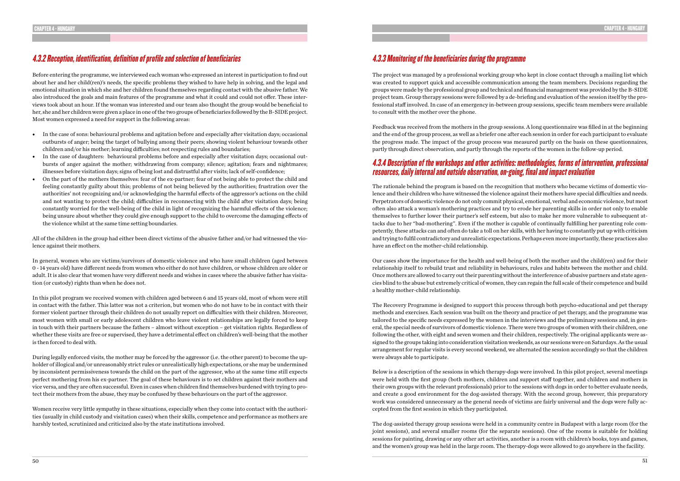### 4.3.2 Reception, identification, definition of profile and selection of beneficiaries

Before entering the programme, we interviewed each woman who expressed an interest in participation to find out about her and her child(ren)'s needs, the specific problems they wished to have help in solving, and the legal and emotional situation in which she and her children found themselves regarding contact with the abusive father. We also introduced the goals and main features of the programme and what it could and could not offer. These interviews took about an hour. If the woman was interested and our team also thought the group would be beneficial to her, she and her children were given a place in one of the two groups of beneficiaries followed by the B-SIDE project. Most women expressed a need for support in the following areas:

- In the case of sons: behavioural problems and agitation before and especially after visitation days; occasional outbursts of anger; being the target of bullying among their peers; showing violent behaviour towards other children and/or his mother; learning difficulties; not respecting rules and boundaries;
- In the case of daughters: behavioural problems before and especially after visitation days; occasional outbursts of anger against the mother; withdrawing from company; silence; agitation; fears and nightmares; illnesses before visitation days; signs of being lost and distrustful after visits; lack of self-confidence;
- On the part of the mothers themselves: fear of the ex-partner; fear of not being able to protect the child and feeling constantly guilty about this; problems of not being believed by the authorities; frustration over the authorities' not recognizing and/or acknowledging the harmful effects of the aggressor's actions on the child and not wanting to protect the child; difficulties in reconnecting with the child after visitation days; being constantly worried for the well-being of the child in light of recognizing the harmful effects of the violence; being unsure about whether they could give enough support to the child to overcome the damaging effects of the violence whilst at the same time setting boundaries.

All of the children in the group had either been direct victims of the abusive father and/or had witnessed the violence against their mothers.

In general, women who are victims/survivors of domestic violence and who have small children (aged between 0 - 14 years old) have different needs from women who either do not have children, or whose children are older or adult. It is also clear that women have very different needs and wishes in cases where the abusive father has visitation (or custody) rights than when he does not.

In this pilot program we received women with children aged between 6 and 15 years old, most of whom were still in contact with the father. This latter was not a criterion, but women who do not have to be in contact with their former violent partner through their children do not usually report on difficulties with their children. Moreover, most women with small or early adolescent children who leave violent relationships are legally forced to keep in touch with their partners because the fathers – almost without exception – get visitation rights. Regardless of whether these visits are free or supervised, they have a detrimental effect on children's well-being that the mother is then forced to deal with.

During legally enforced visits, the mother may be forced by the aggressor (i.e. the other parent) to become the upholder of illogical and/or unreasonably strict rules or unrealistically high expectations, or she may be undermined by inconsistent permissiveness towards the child on the part of the aggressor, who at the same time still expects perfect mothering from his ex-partner. The goal of these behaviours is to set children against their mothers and vice versa, and they are often successful. Even in cases when children find themselves burdened with trying to protect their mothers from the abuse, they may be confused by these behaviours on the part of the aggressor.

Women receive very little sympathy in these situations, especially when they come into contact with the authorities (usually in child custody and visitation cases) when their skills, competence and performance as mothers are harshly tested, scrutinized and criticized also by the state institutions involved.

### 4.3.3 Monitoring of the beneficiaries during the programme

The project was managed by a professional working group who kept in close contact through a mailing list which was created to support quick and accessible communication among the team members. Decisions regarding the groups were made by the professional group and technical and financial management was provided by the B-SIDE project team. Group therapy sessions were followed by a de-briefing and evaluation of the session itself by the professional staff involved. In case of an emergency in-between group sessions, specific team members were available to consult with the mother over the phone.

Feedback was received from the mothers in the group sessions. A long questionnaire was filled in at the beginning and the end of the group process, as well as a briefer one after each session in order for each participant to evaluate the progress made. The impact of the group process was measured partly on the basis on these questionnaires, partly through direct observation, and partly through the reports of the women in the follow-up period.

### 4.3.4 Description of the workshops and other activities: methodologies, forms of intervention, professional resources, daily internal and outside observation, on-going, final and impact evaluation

The rationale behind the program is based on the recognition that mothers who became victims of domestic violence and their children who have witnessed the violence against their mothers have special difficulties and needs. Perpetrators of domestic violence do not only commit physical, emotional, verbal and economic violence, but most often also attack a woman's mothering practices and try to erode her parenting skills in order not only to enable themselves to further lower their partner's self esteem, but also to make her more vulnerable to subsequent attacks due to her "bad-mothering". Even if the mother is capable of continually fulfilling her parenting role competently, these attacks can and often do take a toll on her skills, with her having to constantly put up with criticism and trying to fulfil contradictory and unrealistic expectations. Perhaps even more importantly, these practices also have an effect on the mother-child relationship.

Our cases show the importance for the health and well-being of both the mother and the child(ren) and for their relationship itself to rebuild trust and reliability in behaviours, rules and habits between the mother and child. Once mothers are allowed to carry out their parenting without the interference of abusive partners and state agencies blind to the abuse but extremely critical of women, they can regain the full scale of their competence and build a healthy mother-child relationship.

The Recovery Programme is designed to support this process through both psycho-educational and pet therapy methods and exercises. Each session was built on the theory and practice of pet therapy, and the programme was tailored to the specific needs expressed by the women in the interviews and the preliminary sessions and, in general, the special needs of survivors of domestic violence. There were two groups of women with their children, one following the other, with eight and seven women and their children, respectively. The original applicants were assigned to the groups taking into consideration visitation weekends, as our sessions were on Saturdays. As the usual arrangement for regular visits is every second weekend, we alternated the session accordingly so that the children were always able to participate.

Below is a description of the sessions in which therapy-dogs were involved. In this pilot project, several meetings were held with the first group (both mothers, children and support staff together, and children and mothers in their own groups with the relevant professionals) prior to the sessions with dogs in order to better evaluate needs, and create a good environment for the dog-assisted therapy. With the second group, however, this preparatory work was considered unnecessary as the general needs of victims are fairly universal and the dogs were fully accepted from the first session in which they participated.

The dog-assisted therapy group sessions were held in a community centre in Budapest with a large room (for the joint sessions), and several smaller rooms (for the separate sessions). One of the rooms is suitable for holding sessions for painting, drawing or any other art activities, another is a room with children's books, toys and games, and the women's group was held in the large room. The therapy-dogs were allowed to go anywhere in the facility.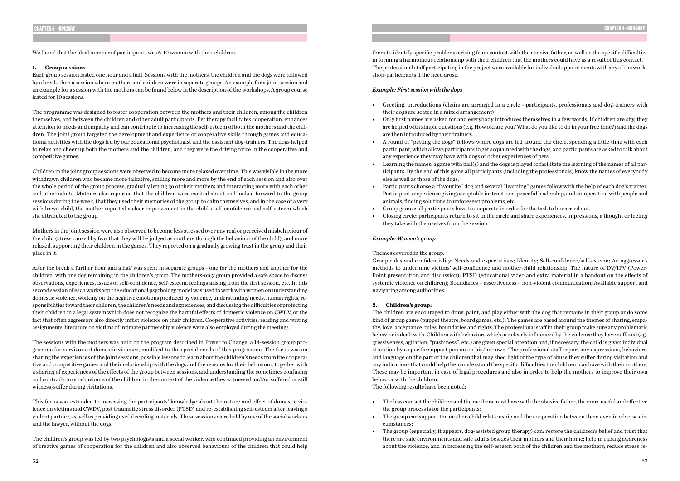We found that the ideal number of participants was 6-10 women with their children.

### **1. Group sessions**

Each group session lasted one hour and a half. Sessions with the mothers, the children and the dogs were followed by a break, then a session where mothers and children were in separate groups. An example for a joint session and an example for a session with the mothers can be found below in the description of the workshops. A group course lasted for 10 sessions.

The programme was designed to foster cooperation between the mothers and their children, among the children themselves, and between the children and other adult participants. Pet therapy facilitates cooperation, enhances attention to needs and empathy and can contribute to increasing the self-esteem of both the mothers and the children. The joint group targeted the development and experience of cooperative skills through games and educational activities with the dogs led by our educational psychologist and the assistant dog-trainers. The dogs helped to relax and cheer up both the mothers and the children, and they were the driving force in the cooperative and competitive games.

Children in the joint group sessions were observed to become more relaxed over time. This was visible in the more withdrawn children who became more talkative, smiling more and more by the end of each session and also over the whole period of the group process, gradually letting go of their mothers and interacting more with each other and other adults. Mothers also reported that the children were excited about and looked forward to the group sessions during the week, that they used their memories of the group to calm themselves, and in the case of a very withdrawn child, the mother reported a clear improvement in the child's self-confidence and self-esteem which she attributed to the group.

Mothers in the joint session were also observed to become less stressed over any real or perceived misbehaviour of the child (stress caused by fear that they will be judged as mothers through the behaviour of the child), and more relaxed, supporting their children in the games. They reported on a gradually growing trust in the group and their place in it.

After the break a further hour and a half was spent in separate groups - one for the mothers and another for the children, with one dog remaining in the children's group. The mothers-only group provided a safe space to discuss observations, experiences, issues of self-confidence, self-esteem, feelings arising from the first session, etc. In this second session of each workshop the educational psychology model was used to work with women on understanding domestic violence, working on the negative emotions produced by violence, understanding needs, human rights, responsibilities toward their children, the children's needs and experiences, and discussing the difficulties of protecting their children in a legal system which does not recognize the harmful effects of domestic violence on CWDV, or the fact that often aggressors also directly inflict violence on their children. Cooperative activities, reading and writing assignments, literature on victims of intimate partnership violence were also employed during the meetings.

The sessions with the mothers was built on the program described in Power to Change, a 14-session group programme for survivors of domestic violence, modified to the special needs of this programme. The focus was on sharing the experiences of the joint sessions, possible lessons to learn about the children's needs from the cooperative and competitive games and their relationship with the dogs and the reasons for their behaviour, together with a sharing of experiences of the effects of the group between sessions, and understanding the sometimes confusing and contradictory behaviours of the children in the context of the violence they witnessed and/or suffered or still witness/suffer during visitations.

This focus was extended to increasing the participants' knowledge about the nature and effect of domestic violence on victims and CWDV, post traumatic stress disorder (PTSD) and re-establishing self-esteem after leaving a violent partner, as well as providing useful reading materials. These sessions were held by one of the social workers and the lawyer, without the dogs.

The children's group was led by two psychologists and a social worker, who continued providing an environment of creative games of cooperation for the children and also observed behaviours of the children that could help them to identify specific problems arising from contact with the abusive father, as well as the specific difficulties in forming a harmonious relationship with their children that the mothers could have as a result of this contact. The professional staff participating in the project were available for individual appointments with any of the workshop-participants if the need arose.

### *Example: First session with the dogs*

• Greeting, introductions (chairs are arranged in a circle - participants, professionals and dog-trainers with

are helped with simple questions (e.g. How old are you? What do you like to do in your free time?) and the dogs

• A round of "petting the dogs" follows where dogs are led around the circle, spending a little time with each participant, which allows participants to get acquainted with the dogs, and participants are asked to talk about

- their dogs are seated in a mixed arrangement)
- Only first names are asked for and everybody introduces themselves in a few words. If children are shy, they are then introduced by their trainers.
- any experience they may have with dogs or other experiences of pets.
- else as well as those of the dogs.
- animals, finding solutions to unforeseen problems, etc.
- Group games: all participants have to cooperate in order for the task to be carried out.
- they take with themselves from the session.

• Learning the names: a game with ball(s) and the dogs is played to facilitate the learning of the names of all participants. By the end of this game all participants (including the professionals) know the names of everybody

• Participants choose a "favourite" dog and several "learning" games follow with the help of each dog's trainer. Participants experience giving acceptable instructions, peaceful leadership, and co-operation with people and

• Closing circle: participants return to sit in the circle and share experiences, impressions, a thought or feeling

### *Example: Women's group*

### Themes covered in the group:

Group rules and confidentiality; Needs and expectations; Identity; Self-confidence/self-esteem; An aggressor's methods to undermine victims' self-confidence and mother-child relationship; The nature of DV/IPV (Power-Point presentation and discussion); PTSD (educational video and extra material in a handout on the effects of systemic violence on children); Boundaries – assertiveness – non-violent communication; Available support and navigating among authorities.

### **2. Children's group:**

The children are encouraged to draw, paint, and play either with the dog that remains in their group or do some kind of group game (puppet theatre, board games, etc.). The games are based around the themes of sharing, empathy, love, acceptance, rules, boundaries and rights. The professional staff in their group make sure any problematic behavior is dealt with. Children with behaviors which are clearly influenced by the violence they have suffered (aggressiveness, agitation, "pushiness", etc.) are given special attention and, if necessary, the child is given individual attention by a specific support person on his/her own. The professional staff report any expressions, behaviors, and language on the part of the children that may shed light of the type of abuse they suffer during visitation and any indications that could help them understand the specific difficulties the children may have with their mothers. These may be important in case of legal procedures and also in order to help the mothers to improve their own behavior with the children.

The following results have been noted:

- The less contact the children and the mothers must have with the abusive father, the more useful and effective the group process is for the participants;
- cumstances;
- 

• The group can support the mother-child relationship and the cooperation between them even in adverse cir-

• The group (especially, it appears, dog-assisted group therapy) can: restore the children's belief and trust that there are safe environments and safe adults besides their mothers and their home; help in raising awareness about the violence, and in increasing the self-esteem both of the children and the mothers; reduce stress re-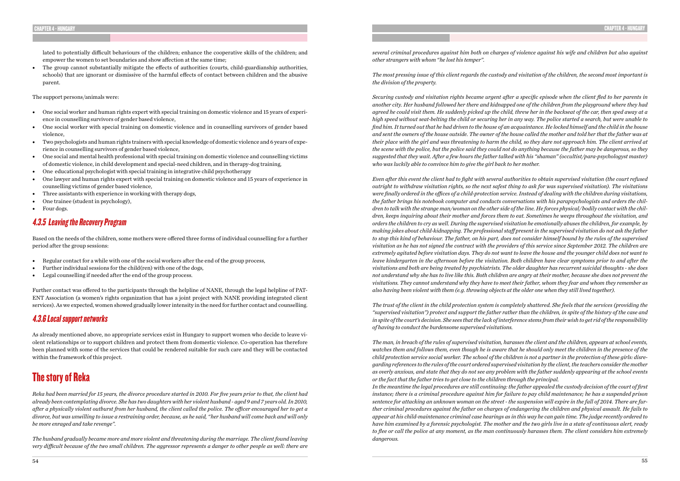lated to potentially difficult behaviours of the children; enhance the cooperative skills of the children; and empower the women to set boundaries and show affection at the same time;

• The group cannot substantially mitigate the effects of authorities (courts, child-guardianship authorities, schools) that are ignorant or dismissive of the harmful effects of contact between children and the abusive parent.

The support persons/animals were:

- Regular contact for a while with one of the social workers after the end of the group process,
- Further individual sessions for the child(ren) with one of the dogs,
- Legal counselling if needed after the end of the group process.
- One social worker and human rights expert with special training on domestic violence and 15 years of experience in counselling survivors of gender based violence,
- One social worker with special training on domestic violence and in counselling survivors of gender based violence,
- Two psychologists and human rights trainers with special knowledge of domestic violence and 6 years of experience in counselling survivors of gender based violence,
- One social and mental health professional with special training on domestic violence and counselling victims of domestic violence, in child development and special-need children, and in therapy-dog training,
- One educational psychologist with special training in integrative child psychotherapy
- One lawyer and human rights expert with special training on domestic violence and 15 years of experience in counselling victims of gender based violence,
- Three assistants with experience in working with therapy dogs,
- One trainee (student in psychology),
- Four dogs.

### 4.3.5 Leaving the Recovery Program

Based on the needs of the children, some mothers were offered three forms of individual counselling for a further period after the group sessions:

Further contact was offered to the participants through the helpline of NANE, through the legal helpline of PAT-ENT Association (a women's rights organization that has a joint project with NANE providing integrated client services). As we expected, women showed gradually lower intensity in the need for further contact and counselling.

### 4.3.6 Local support networks

As already mentioned above, no appropriate services exist in Hungary to support women who decide to leave violent relationships or to support children and protect them from domestic violence. Co-operation has therefore been planned with some of the services that could be rendered suitable for such care and they will be contacted within the framework of this project.

# The story of Reka

*Reka had been married for 15 years, the divorce procedure started in 2010. For five years prior to that, the client had already been contemplating divorce. She has two daughters with her violent husband - aged 9 and 7 years old. In 2010, after a physically violent outburst from her husband, the client called the police. The officer encouraged her to get a divorce, but was unwilling to issue a restraining order, because, as he said, "her husband will come back and will only be more enraged and take revenge".* 

*The husband gradually became more and more violent and threatening during the marriage. The client found leaving very difficult because of the two small children. The aggressor represents a danger to other people as well: there are* 

*several criminal procedures against him both on charges of violence against his wife and children but also against other strangers with whom "he lost his temper".*

*The most pressing issue of this client regards the custody and visitation of the children, the second most important is the division of the property.* 

*Securing custody and visitation rights became urgent after a specific episode when the client fled to her parents in another city. Her husband followed her there and kidnapped one of the children from the playground where they had agreed he could visit them. He suddenly picked up the child, threw her in the backseat of the car, then sped away at a high speed without seat-belting the child or securing her in any way. The police started a search, but were unable to find him. It turned out that he had driven to the house of an acquaintance. He locked himself and the child in the house and sent the owners of the house outside. The owner of the house called the mother and told her that the father was at their place with the girl and was threatening to harm the child, so they dare not approach him. The client arrived at the scene with the police, but the police said they could not do anything because the father may be dangerous, so they suggested that they wait. After a few hours the father talked with his "shaman" (occultist/para-psychologyst master) who was luckily able to convince him to give the girl back to her mother.*

*Even after this event the client had to fight with several authorities to obtain supervised visitation (the court refused outright to withdraw visitation rights, so the next safest thing to ask for was supervised visitation). The visitations were finally ordered in the offices of a child-protection service. Instead of dealing with the children during visitations, the father brings his notebook computer and conducts conversations with his parapsychologists and orders the children to talk with the strange man/woman on the other side of the line. He forces physical/bodily contact with the children, keeps inquiring about their mother and forces them to eat. Sometimes he weeps throughout the visitation, and orders the children to cry as well. During the supervised visitation he emotionally abuses the children, for example, by making jokes about child-kidnapping. The professional staff present in the supervised visitation do not ask the father to stop this kind of behaviour. The father, on his part, does not consider himself bound by the rules of the supervised visitation as he has not signed the contract with the providers of this service since September 2012. The children are extremely agitated before visitation days. They do not want to leave the house and the younger child does not want to leave kindergarten in the afternoon before the visitation. Both children have clear symptoms prior to and after the visitations and both are being treated by psychiatrists. The older daughter has recurrent suicidal thoughts - she does not understand why she has to live like this. Both children are angry at their mother, because she does not prevent the visitations. They cannot understand why they have to meet their father, whom they fear and whom they remember as also having been violent with them (e.g. throwing objects at the older one when they still lived together).* 

*The trust of the client in the child protection system is completely shattered. She feels that the services (providing the "supervised visitation") protect and support the father rather than the children, in spite of the history of the case and in spite of the court's decision. She sees that the lack of interference stems from their wish to get rid of the responsibility of having to conduct the burdensome supervised visitations.*

*The man, in breach of the rules of supervised visitation, harasses the client and the children, appears at school events, watches them and follows them, even though he is aware that he should only meet the children in the presence of the child protection service social worker. The school of the children is not a partner in the protection of these girls: disregarding references to the rules of the court ordered supervised visitation by the client, the teachers consider the mother as overly anxious, and state that they do not see any problem with the father suddenly appearing at the school events or the fact that the father tries to get close to the children through the principal. In the meantime the legal procedures are still continuing: the father appealed the custody decision of the court of first instance; there is a criminal procedure against him for failure to pay child maintenance; he has a suspended prison sentence for attacking an unknown woman on the street - the suspension will expire in the fall of 2014. There are further criminal procedures against the father on charges of endangering the children and physical assault. He fails to appear at his child-maintenance criminal case hearings as in this way he can gain time. The judge recently ordered to have him examined by a forensic psychologist. The mother and the two girls live in a state of continuous alert, ready to flee or call the police at any moment, as the man continuously harasses them. The client considers him extremely dangerous.*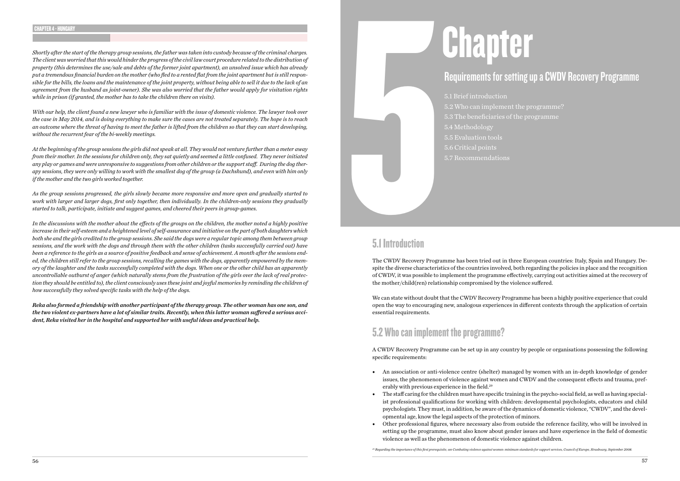# Requirements for setting up a CWDV Recovery Programme

5.1 Brief introduction 5.2 Who can implement the programme? 5.3 The beneficiaries of the programme 5.4 Methodology 5.5 Evaluation tools 5.6 Critical points 5.7 Recommendations

### 5.1 Introduction

5.1 Introduction The CWDV Recovery Programme has been tried out in three European countries: Italy, Spain and Hungary. Despite the diverse characteristics of the countries involved, both regarding the policies in place and the recognition of CWDV, it was possible to implement the programme effectively, carrying out activities aimed at the recovery of the mother/child(ren) relationship compromised by the violence suffered.

We can state without doubt that the CWDV Recovery Programme has been a highly positive experience that could open the way to encouraging new, analogous experiences in different contexts through the application of certain essential requirements.

# 5.2 Who can implement the programme?

A CWDV Recovery Programme can be set up in any country by people or organisations possessing the following specific requirements:

issues, the phenomenon of violence against women and CWDV and the consequent effects and trauma, pref-

• The staff caring for the children must have specific training in the psycho-social field, as well as having specialist professional qualifications for working with children: developmental psychologists, educators and child psychologists. They must, in addition, be aware of the dynamics of domestic violence, "CWDV", and the devel-

- An association or anti-violence centre (shelter) managed by women with an in-depth knowledge of gender erably with previous experience in the field.<sup>29</sup>
- opmental age, know the legal aspects of the protection of minors.
- violence as well as the phenomenon of domestic violence against children.

• Other professional figures, where necessary also from outside the reference facility, who will be involved in setting up the programme, must also know about gender issues and have experience in the field of domestic

*29 Regarding the importance of this first prerequisite, see Combating violence against women: minimum standards for support services, Council of Europe, Strasbourg, September 2008.*

### CHAPTER 4 - HUNGARY

*Shortly after the start of the therapy group sessions, the father was taken into custody because of the criminal charges. The client was worried that this would hinder the progress of the civil law court procedure related to the distribution of property (this determines the use/sale and debts of the former joint apartment), an unsolved issue which has already put a tremendous financial burden on the mother (who fled to a rented flat from the joint apartment but is still responsible for the bills, the loans and the maintenance of the joint property, without being able to sell it due to the lack of an agreement from the husband as joint-owner). She was also worried that the father would apply for visitation rights while in prison (if granted, the mother has to take the children there on visits).*

*With our help, the client found a new lawyer who is familiar with the issue of domestic violence. The lawyer took over the case in May 2014, and is doing everything to make sure the cases are not treated separately. The hope is to reach an outcome where the threat of having to meet the father is lifted from the children so that they can start developing, without the recurrent fear of the bi-weekly meetings.* 

*At the beginning of the group sessions the girls did not speak at all. They would not venture further than a meter away from their mother. In the sessions for children only, they sat quietly and seemed a little confused. They never initiated any play or games and were unresponsive to suggestions from other children or the support staff. During the dog therapy sessions, they were only willing to work with the smallest dog of the group (a Dachshund), and even with him only if the mother and the two girls worked together.* 

*As the group sessions progressed, the girls slowly became more responsive and more open and gradually started to work with larger and larger dogs, first only together, then individually. In the children-only sessions they gradually started to talk, participate, initiate and suggest games, and cheered their peers in group-games.* 

*In the discussions with the mother about the effects of the groups on the children, the mother noted a highly positive increase in their self-esteem and a heightened level of self-assurance and initiative on the part of both daughters which both she and the girls credited to the group sessions. She said the dogs were a regular topic among them between group sessions, and the work with the dogs and through them with the other children (tasks successfully carried out) have been a reference to the girls as a source of positive feedback and sense of achievement. A month after the sessions ended, the children still refer to the group sessions, recalling the games with the dogs, apparently empowered by the memory of the laughter and the tasks successfully completed with the dogs. When one or the other child has an apparently uncontrollable outburst of anger (which naturally stems from the frustration of the girls over the lack of real protection they should be entitled to), the client consciously uses these joint and joyful memories by reminding the children of how successfully they solved specific tasks with the help of the dogs.*

*Reka also formed a friendship with another participant of the therapy group. The other woman has one son, and the two violent ex-partners have a lot of similar traits. Recently, when this latter woman suffered a serious accident, Reka visited her in the hospital and supported her with useful ideas and practical help.*

# **Chapter**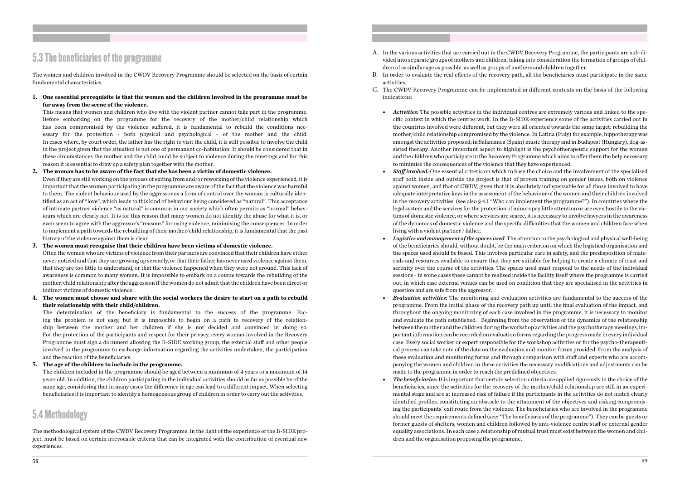# 5.3 The beneficiaries of the programme

The women and children involved in the CWDV Recovery Programme should be selected on the basis of certain fundamental characteristics.

**1. One essential prerequisite is that the women and the children involved in the programme must be far away from the scene of the violence.**

This means that women and children who live with the violent partner cannot take part in the programme. Before embarking on the programme for the recovery of the mother/child relationship which has been compromised by the violence suffered, it is fundamental to rebuild the conditions necessary for the protection - both physical and psychological - of the mother and the child. In cases where, by court order, the father has the right to visit the child, it is still possible to involve the child in the project given that the situation is not one of permanent co-habitation. It should be considered that in these circumstances the mother and the child could be subject to violence during the meetings and for this reason it is essential to draw up a safety plan together with the mother.

### **2. The woman has to be aware of the fact that she has been a victim of domestic violence.**

Even if they are still working on the process of exiting from and/or reworking of the violence experienced, it is important that the women participating in the programme are aware of the fact that the violence was harmful to them. The violent behaviour used by the aggressor as a form of control over the woman is culturally identified as an act of "love", which leads to this kind of behaviour being considered as "natural". This acceptance of intimate partner violence "as natural" is common in our society which often permits as "normal" behaviours which are clearly not. It is for this reason that many women do not identify the abuse for what it is, or even seem to agree with the aggressor's "reasons" for using violence, minimising the consequences. In order to implement a path towards the rebuilding of their mother/child relationship, it is fundamental that the past history of the violence against them is clear.

### **3. The women must recognise that their children have been victims of domestic violence.**

Often the women who are victims of violence from their partners are convinced that their children have either never noticed and that they are growing up serenely, or that their father has never used violence against them, that they are too little to understand, or that the violence happened when they were not around. This lack of awareness is common to many women. It is impossible to embark on a course towards the rebuilding of the mother/child relationship after the aggression if the women do not admit that the children have been direct or indirect victims of domestic violence.

**4. The women must choose and share with the social workers the desire to start on a path to rebuild their relationship with their child/children.** 

The determination of the beneficiary is fundamental to the success of the programme. Facing the problem is not easy, but it is impossible to begin on a path to recovery of the relationship between the mother and her children if she is not decided and convinced in doing so. For the protection of the participants and respect for their privacy, every woman involved in the Recovery Programme must sign a document allowing the B-SIDE working group, the external staff and other people involved in the programme to exchange information regarding the activities undertaken, the participation and the reaction of the beneficiaries.

### **5. The age of the children to include in the programme.**

The children included in the programme should be aged between a minimum of 4 years to a maximum of 14 years old. In addition, the children participating in the individual activities should as far as possible be of the same age, considering that in many cases the difference in age can lead to a different impact. When selecting beneficiaries it is important to identify a homogeneous group of children in order to carry out the activities.

### 5.4 Methodology

The methodological system of the CWDV Recovery Programme, in the light of the experience of the B-SIDE project, must be based on certain irrevocable criteria that can be integrated with the contribution of eventual new experiences.

vided into separate groups of mothers and children, taking into consideration the formation of groups of chil-

cific context in which the centres work. In the B-SIDE experience some of the activities carried out in the countries involved were different, but they were all oriented towards the same target: rebuilding the mother/child relationship compromised by the violence. In Latina (Italy) for example, hippotherapy was amongst the activities proposed; in Salamanca (Spain) music therapy and in Budapest (Hungary), dog-assisted therapy. Another important aspect to highlight is the psychotherapeutic support for the women and the children who participate in the Recovery Programme which aims to offer them the help necessary

*• Staff involved:* One essential criteria on which to base the choice and the involvement of the specialised staff both inside and outside the project is that of proven training on gender issues, both on violence against women, and that of CWDV, given that it is absolutely indispensable for all those involved to have adequate interpretative keys in the assessment of the behaviour of the women and their children involved in the recovery activities. (see also § 4.1 "Who can implement the programme?"). In countries where the legal system and the services for the protection of minors pay little attention or are even hostile to the victims of domestic violence, or where services are scarce, it is necessary to involve lawyers in the awareness of the dynamics of domestic violence and the specific difficulties that the women and children face when

- A. In the various activities that are carried out in the CWDV Recovery Programme, the participants are sub-didren of as similar age as possible, as well as groups of mothers and children together.
- B. In order to evaluate the real effects of the recovery path, all the beneficiaries must participate in the same activities.
- C. The CWDV Recovery Programme can be implemented in different contexts on the basis of the following indications:
	- *• Activities:* The possible activities in the individual centres are extremely various and linked to the speto minimise the consequences of the violence that they have experienced.
	- living with a violent partner / father.
	- question and are safe from the aggressor.
	- made to the programme in order to reach the predefined objectives.
	- *• The beneficiaries:* It is important that certain selection criteria are applied rigorously in the choice of the dren and the organisation proposing the programme.

*• Logistics and management of the spaces used*: The attention to the psychological and physical well-being of the beneficiaries should, without doubt, be the main criterion on which the logistical organisation and the spaces used should be based. This involves particular care in safety, and the predisposition of materials and resources available to ensure that they are suitable for helping to create a climate of trust and serenity over the course of the activities. The spaces used must respond to the needs of the individual sessions - in some cases these cannot be realised inside the facility itself where the programme is carried out, in which case external venues can be used on condition that they are specialised in the activities in

*• Evaluation activities:* The monitoring and evaluation activities are fundamental to the success of the programme. From the initial phase of the recovery path up until the final evaluation of the impact, and throughout the ongoing monitoring of each case involved in the programme, it is necessary to monitor and evaluate the path established. Beginning from the observation of the dynamics of the relationship between the mother and the children during the workshop activities and the psychotherapy meetings, important information can be recorded on evaluation forms regarding the progress made in every individual case. Every social worker or expert responsible for the workshop activities or for the psycho-therapeutical process can take note of the data on the evaluation and monitor forms provided. From the analysis of these evaluation and monitoring forms and through comparison with staff and experts who are accompanying the women and children in these activities the necessary modifications and adjustments can be

beneficiaries, since the activities for the recovery of the mother/child relationship are still in an experimental stage and are at increased risk of failure if the participants in the activities do not match clearly identified profiles, constituting an obstacle to the attainment of the objectives and risking compromising the participants' exit route from the violence. The beneficiaries who are involved in the programme should meet the requirements defined (see: "The beneficiaries of the programme"). They can be guests or former guests of shelters, women and children followed by anti-violence centre staff or external gender equality associations. In each case a relationship of mutual trust must exist between the women and chil-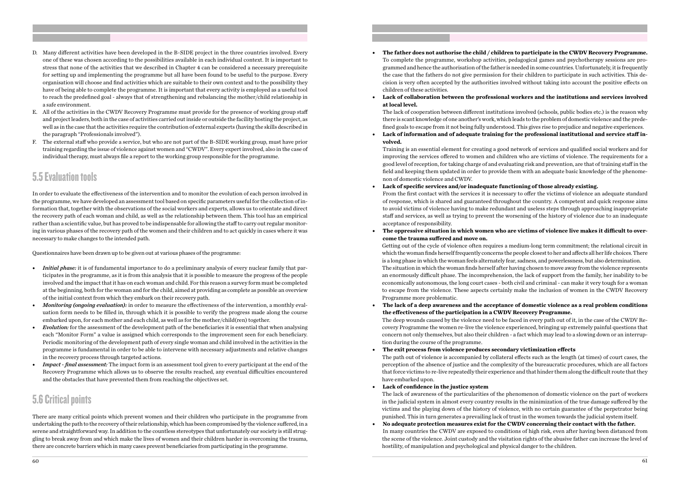- D. Many different activities have been developed in the B-SIDE project in the three countries involved. Every one of these was chosen according to the possibilities available in each individual context. It is important to stress that none of the activities that we described in Chapter 4 can be considered a necessary prerequisite for setting up and implementing the programme but all have been found to be useful to the purpose. Every organisation will choose and find activities which are suitable to their own context and to the possibility they have of being able to complete the programme. It is important that every activity is employed as a useful tool to reach the predefined goal - always that of strengthening and rebalancing the mother/child relationship in a safe environment.
- E. All of the activities in the CWDV Recovery Programme must provide for the presence of working group staff and project leaders, both in the case of activities carried out inside or outside the facility hosting the project, as well as in the case that the activities require the contribution of external experts (having the skills described in the paragraph "Professionals involved").
- F. The external staff who provide a service, but who are not part of the B-SIDE working group, must have prior training regarding the issue of violence against women and "CWDV". Every expert involved, also in the case of individual therapy, must always file a report to the working group responsible for the programme.

### 5.5 Evaluation tools

In order to evaluate the effectiveness of the intervention and to monitor the evolution of each person involved in the programme, we have developed an assessment tool based on specific parameters useful for the collection of information that, together with the observations of the social workers and experts, allows us to orientate and direct the recovery path of each woman and child, as well as the relationship between them. This tool has an empirical rather than a scientific value, but has proved to be indispensable for allowing the staff to carry out regular monitoring in various phases of the recovery path of the women and their children and to act quickly in cases where it was necessary to make changes to the intended path.

Questionnaires have been drawn up to be given out at various phases of the programme:

- *• Initial phase:* it is of fundamental importance to do a preliminary analysis of every nuclear family that participates in the programme, as it is from this analysis that it is possible to measure the progress of the people involved and the impact that it has on each woman and child. For this reason a survey form must be completed at the beginning, both for the woman and for the child, aimed at providing as complete as possible an overview of the initial context from which they embark on their recovery path.
- *• Monitoring (ongoing evaluation):* in order to measure the effectiveness of the intervention, a monthly evaluation form needs to be filled in, through which it is possible to verify the progress made along the course embarked upon, for each mother and each child, as well as for the mother/child(ren) together.
- *• Evolution:* for the assessment of the development path of the beneficiaries it is essential that when analysing each "Monitor Form" a value is assigned which corresponds to the improvement seen for each beneficiary. Periodic monitoring of the development path of every single woman and child involved in the activities in the programme is fundamental in order to be able to intervene with necessary adjustments and relative changes in the recovery process through targeted actions.
- *• Impact final assessment:* The impact form is an assessment tool given to every participant at the end of the Recovery Programme which allows us to observe the results reached, any eventual difficulties encountered and the obstacles that have prevented them from reaching the objectives set.

### 5.6 Critical points

There are many critical points which prevent women and their children who participate in the programme from undertaking the path to the recovery of their relationship, which has been compromised by the violence suffered, in a serene and straightforward way. In addition to the countless stereotypes that unfortunately our society is still struggling to break away from and which make the lives of women and their children harder in overcoming the trauma, there are concrete barriers which in many cases prevent beneficiaries from participating in the programme.

To complete the programme, workshop activities, pedagogical games and psychotherapy sessions are programmed and hence the authorisation of the father is needed in some countries. Unfortunately, it is frequently the case that the fathers do not give permission for their children to participate in such activities. This decision is very often accepted by the authorities involved without taking into account the positive effects on

- **• The father does not authorise the child / children to participate in the CWDV Recovery Programme.** children of these activities.
- **at local level.**

### **• Lack of collaboration between the professional workers and the institutions and services involved**

The lack of cooperation between different institutions involved (schools, public bodies etc.) is the reason why there is scant knowledge of one another's work, which leads to the problem of domestic violence and the predefined goals to escape from it not being fully understood. This gives rise to prejudice and negative experiences. **• Lack of information and of adequate training for the professional institutional and service staff in-**

**volved.** 

Training is an essential element for creating a good network of services and qualified social workers and for improving the services offered to women and children who are victims of violence. The requirements for a good level of reception, for taking charge of and evaluating risk and prevention, are that of training staff in the field and keeping them updated in order to provide them with an adequate basic knowledge of the phenomenon of domestic violence and CWDV.

From the first contact with the services it is necessary to offer the victims of violence an adequate standard of response, which is shared and guaranteed throughout the country. A competent and quick response aims to avoid victims of violence having to make redundant and useless steps through approaching inappropriate staff and services, as well as trying to prevent the worsening of the history of violence due to an inadequate

- **• Lack of specific services and/or inadequate functioning of those already existing.**  acceptance of responsibility.
- **come the trauma suffered and move on.**

### **• The oppressive situation in which women who are victims of violence live makes it difficult to over-**

Getting out of the cycle of violence often requires a medium-long term commitment; the relational circuit in which the woman finds herself frequently concerns the people closest to her and affects all her life choices. There is a long phase in which the woman feels alternately fear, sadness, and powerlessness, but also determination. The situation in which the woman finds herself after having chosen to move away from the violence represents an enormously difficult phase. The incomprehension, the lack of support from the family, her inability to be economically autonomous, the long court cases - both civil and criminal - can make it very tough for a woman to escape from the violence. These aspects certainly make the inclusion of women in the CWDV Recovery Programme more problematic.

covery Programme the women re-live the violence experienced, bringing up extremely painful questions that

The path out of violence is accompanied by collateral effects such as the length (at times) of court cases, the that force victims to re-live repeatedly their experience and that hinder them along the difficult route that they

- **• The lack of a deep awareness and the acceptance of domestic violence as a real problem conditions the effectiveness of the participation in a CWDV Recovery Programme.** The deep wounds caused by the violence need to be faced in every path out of it, in the case of the CWDV Reconcern not only themselves, but also their children - a fact which may lead to a slowing down or an interruption during the course of the programme.
- **• The exit process from violence produces secondary victimization effects**  perception of the absence of justice and the complexity of the bureaucratic procedures, which are all factors have embarked upon.
- **• Lack of confidence in the justice system** punished. This in turn generates a prevailing lack of trust in the women towards the judicial system itself.
- **• No adequate protection measures exist for the CWDV concerning their contact with the father.** the scene of the violence. Joint custody and the visitation rights of the abusive father can increase the level of hostility, of manipulation and psychological and physical danger to the children.

The lack of awareness of the particularities of the phenomenon of domestic violence on the part of workers in the judicial system in almost every country results in the minimization of the true damage suffered by the victims and the playing down of the history of violence, with no certain guarantee of the perpetrator being

In many countries the CWDV are exposed to conditions of high risk, even after having been distanced from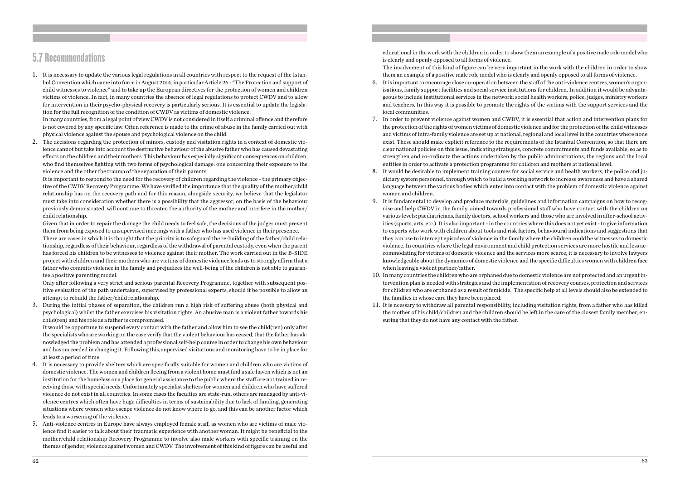### 5.7 Recommendations

1. It is necessary to update the various legal regulations in all countries with respect to the request of the Istanbul Convention which came into force in August 2014, in particular Article 26 - "The Protection and support of child witnesses to violence" and to take up the European directives for the protection of women and children victims of violence. In fact, in many countries the absence of legal regulations to protect CWDV and to allow for intervention in their psycho-physical recovery is particularly serious. It is essential to update the legislation for the full recognition of the condition of CWDV as victims of domestic violence.

In many countries, from a legal point of view CWDV is not considered in itself a criminal offence and therefore is not covered by any specific law. Often reference is made to the crime of abuse in the family carried out with physical violence against the spouse and psychological violence on the child.

2. The decisions regarding the protection of minors, custody and visitation rights in a context of domestic violence cannot but take into account the destructive behaviour of the abusive father who has caused devastating effects on the children and their mothers. This behaviour has especially significant consequences on children, who find themselves fighting with two forms of psychological damage: one concerning their exposure to the violence and the other the trauma of the separation of their parents.

It is important to respond to the need for the recovery of children regarding the violence - the primary objective of the CWDV Recovery Programme. We have verified the importance that the quality of the mother/child relationship has on the recovery path and for this reason, alongside security, we believe that the legislator must take into consideration whether there is a possibility that the aggressor, on the basis of the behaviour previously demonstrated, will continue to threaten the authority of the mother and interfere in the mother/ child relationship.

Given that in order to repair the damage the child needs to feel safe, the decisions of the judges must prevent them from being exposed to unsupervised meetings with a father who has used violence in their presence.

There are cases in which it is thought that the priority is to safeguard the re-building of the father/child relationship, regardless of their behaviour, regardless of the withdrawal of parental custody, even when the parent has forced his children to be witnesses to violence against their mother. The work carried out in the B-SIDE project with children and their mothers who are victims of domestic violence leads us to strongly affirm that a father who commits violence in the family and prejudices the well-being of the children is not able to guarantee a positive parenting model.

Only after following a very strict and serious parental Recovery Programme, together with subsequent positive evaluation of the path undertaken, supervised by professional experts, should it be possible to allow an attempt to rebuild the father/child relationship.

3. During the initial phases of separation, the children run a high risk of suffering abuse (both physical and psychological) whilst the father exercises his visitation rights. An abusive man is a violent father towards his child(ren) and his role as a father is compromised.

It would be opportune to suspend every contact with the father and allow him to see the child(ren) only after the specialists who are working on the case verify that the violent behaviour has ceased, that the father has aknowledged the problem and has attended a professional self-help course in order to change his own behaviour and has succeeded in changing it. Following this, supervised visitations and monitoring have to be in place for at least a period of time.

- 4. It is necessary to provide shelters which are specifically suitable for women and children who are victims of domestic violence. The women and children fleeing from a violent home must find a safe haven which is not an institution for the homeless or a place for general assistance to the public where the staff are not trained in receiving those with special needs. Unfortunately specialist shelters for women and children who have suffered violence do not exist in all countries. In some cases the faculties are state-run, others are managed by anti-violence centres which often have huge difficulties in terms of sustainability due to lack of funding, generating situations where women who escape violence do not know where to go, and this can be another factor which leads to a worsening of the violence.
- 5. Anti-violence centres in Europe have always employed female staff, as women who are victims of male violence find it easier to talk about their traumatic experience with another woman. It might be beneficial to the mother/child relationship Recovery Programme to involve also male workers with specific training on the themes of gender, violence against women and CWDV. The involvement of this kind of figure can be useful and

educational in the work with the children in order to show them an example of a positive male role model who is clearly and openly opposed to all forms of violence. The involvement of this kind of figure can be very important in the work with the children in order to show them an example of a positive male role model who is clearly and openly opposed to all forms of violence.

isations, family support facilities and social service institutions for children. In addition it would be advantageous to include institutional services in the network: social health workers, police, judges, ministry workers and teachers. In this way it is possible to promote the rights of the victims with the support services and the

the protection of the rights of women victims of domestic violence and for the protection of the child witnesses and victims of intra-family violence are set up at national, regional and local level in the countries where none exist. These should make explicit reference to the requirements of the Istanbul Convention, so that there are clear national policies on this issue, indicating strategies, concrete commitments and funds available, so as to strengthen and co-ordinate the actions undertaken by the public administrations, the regions and the local

diciary system personnel, through which to build a working network to increase awareness and have a shared language between the various bodies which enter into contact with the problem of domestic violence against

- 6. It is important to encourage close co-operation between the staff of the anti-violence centres, women's organlocal communities.
- 7. In order to prevent violence against women and CWDV, it is essential that action and intervention plans for entities in order to activate a protection programme for children and mothers at national level.
- 8. It would be desirable to implement training courses for social service and health workers, the police and juwomen and children.
- 9. It is fundamental to develop and produce materials, guidelines and information campaigns on how to recogwhen leaving a violent partner/father.
- 10. In many countries the children who are orphaned due to domestic violence are not protected and an urgent inthe families in whose care they have been placed.
- 11. It is ncessary to withdraw all parental responsibility, including visitation rights, from a father who has killed suring that they do not have any contact with the father.

nise and help CWDV in the family, aimed towards professional staff who have contact with the children on various levels: paediatricians, family doctors, school workers and those who are involved in after-school activities (sports, arts, etc.). It is also important - in the countries where this does not yet exist - to give information to experts who work with children about tools and risk factors, behavioural indications and suggestions that they can use to intercept episodes of violence in the family where the children could be witnesses to domestic violence. In countries where the legal environment and child protection services are more hostile and less accommodating for victims of domestic violence and the services more scarce, it is necessary to involve lawyers knowledgeable about the dynamics of domestic violence and the specific difficulties women with children face

tervention plan is needed with strategies and the implementation of recovery courses, protection and services for children who are orphaned as a result of femicide. The specific help at all levels should also be extended to

the mother of his child/children and the children should be left in the care of the closest family member, en-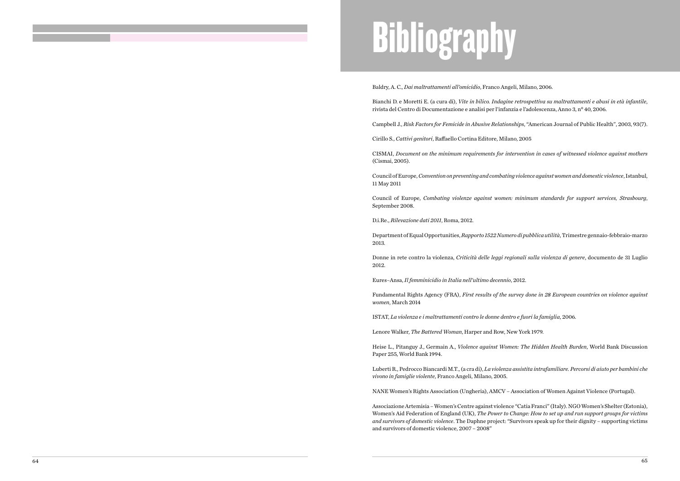# **Bibliography**

Baldry, A. C., *Dai maltrattamenti all'omicidio*, Franco Angeli, Milano, 2006.

Bianchi D. e Moretti E. (a cura di), *Vite in bilico. Indagine retrospettiva su maltrattamenti e abusi in età infantile*, rivista del Centro di Documentazione e analisi per l'infanzia e l'adolescenza, Anno 3, n° 40, 2006.

Campbell J., *Risk Factors for Femicide in Abusive Relationships*, "American Journal of Public Health", 2003, 93(7).

Cirillo S., *Cattivi genitori*, Raffaello Cortina Editore, Milano, 2005

CISMAI, *Document on the minimum requirements for intervention in cases of witnessed violence against mothers* (Cismai, 2005).

Council of Europe, *Convention on preventing and combating violence against women and domestic violence*, Istanbul, 11 May 2011

Council of Europe, *Combating violenze against women: minimum standards for support services, Strasbourg*, September 2008.

D.i.Re., *Rilevazione dati 2011*, Roma, 2012.

Department of Equal Opportunities, *Rapporto 1522 Numero di pubblica utilità*, Trimestre gennaio-febbraio-marzo 2013.

Donne in rete contro la violenza, *Criticità delle leggi regionali sulla violenza di genere*, documento de 31 Luglio 2012.

Eures–Ansa, *Il femminicidio in Italia nell'ultimo decennio*, 2012.

Fundamental Rights Agency (FRA), *First results of the survey done in 28 European countries on violence against women*, March 2014

ISTAT, *La violenza e i maltrattamenti contro le donne dentro e fuori la famiglia*, 2006.

Lenore Walker, *The Battered Woman*, Harper and Row, New York 1979.

Heise L., Pitanguy J., Germain A., *Violence against Women: The Hidden Health Burden*, World Bank Discussion Paper 255, World Bank 1994.

Luberti R., Pedrocco Biancardi M.T., (a cra di), *La violenza assistita intrafamiliare. Percorsi di aiuto per bambini che vivono in famiglie violente*, Franco Angeli, Milano, 2005.

NANE Women's Rights Association (Ungheria), AMCV – Association of Women Against Violence (Portugal).

Associazione Artemisia – Women's Centre against violence "Catia Franci" (Italy). NGO Women's Shelter (Estonia), Women's Aid Federation of England (UK), *The Power to Change: How to set up and run support groups for victims and survivors of domestic violence*. The Daphne project: "Survivors speak up for their dignity – supporting victims and survivors of domestic violence, 2007 – 2008"